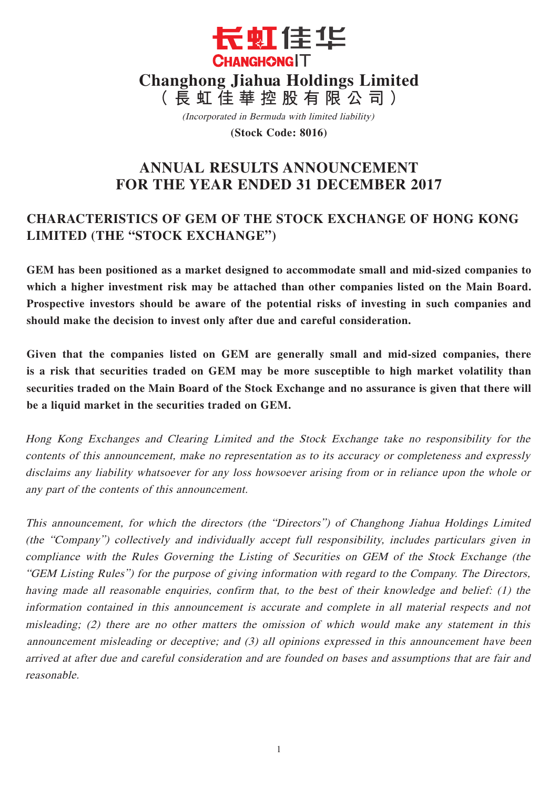

(Incorporated in Bermuda with limited liability)

**(Stock Code: 8016)**

# **ANNUAL RESULTS ANNOUNCEMENT FOR THE YEAR ENDED 31 DECEMBER 2017**

# **CHARACTERISTICS OF GEM OF THE STOCK EXCHANGE OF HONG KONG LIMITED (THE "STOCK EXCHANGE")**

**GEM has been positioned as a market designed to accommodate small and mid-sized companies to which a higher investment risk may be attached than other companies listed on the Main Board. Prospective investors should be aware of the potential risks of investing in such companies and should make the decision to invest only after due and careful consideration.** 

**Given that the companies listed on GEM are generally small and mid-sized companies, there is a risk that securities traded on GEM may be more susceptible to high market volatility than securities traded on the Main Board of the Stock Exchange and no assurance is given that there will be a liquid market in the securities traded on GEM.**

Hong Kong Exchanges and Clearing Limited and the Stock Exchange take no responsibility for the contents of this announcement, make no representation as to its accuracy or completeness and expressly disclaims any liability whatsoever for any loss howsoever arising from or in reliance upon the whole or any part of the contents of this announcement.

This announcement, for which the directors (the "Directors") of Changhong Jiahua Holdings Limited (the "Company") collectively and individually accept full responsibility, includes particulars given in compliance with the Rules Governing the Listing of Securities on GEM of the Stock Exchange (the "GEM Listing Rules") for the purpose of giving information with regard to the Company. The Directors, having made all reasonable enquiries, confirm that, to the best of their knowledge and belief: (1) the information contained in this announcement is accurate and complete in all material respects and not misleading; (2) there are no other matters the omission of which would make any statement in this announcement misleading or deceptive; and (3) all opinions expressed in this announcement have been arrived at after due and careful consideration and are founded on bases and assumptions that are fair and reasonable.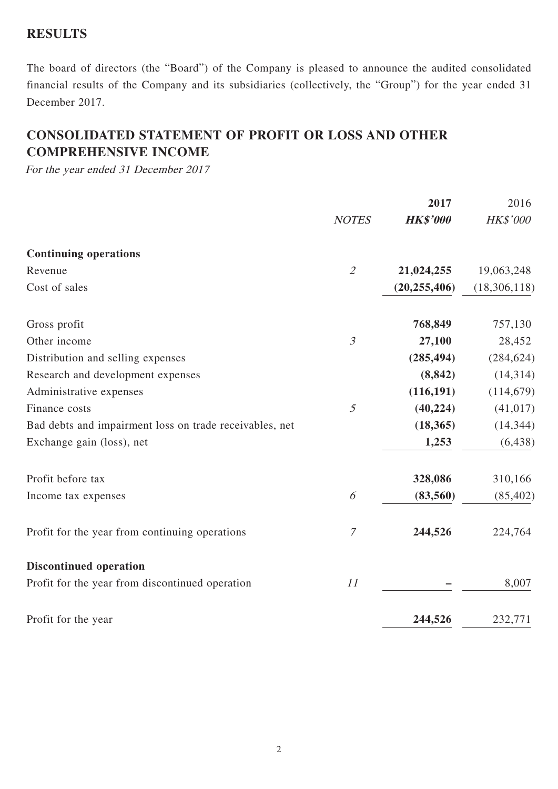## **RESULTS**

The board of directors (the "Board") of the Company is pleased to announce the audited consolidated financial results of the Company and its subsidiaries (collectively, the "Group") for the year ended 31 December 2017.

# **CONSOLIDATED STATEMENT OF PROFIT OR LOSS AND OTHER COMPREHENSIVE INCOME**

For the year ended 31 December 2017

|                                                         |                             | 2017            | 2016         |
|---------------------------------------------------------|-----------------------------|-----------------|--------------|
|                                                         | <b>NOTES</b>                | <b>HK\$'000</b> | HK\$'000     |
| <b>Continuing operations</b>                            |                             |                 |              |
| Revenue                                                 | $\mathcal{L}_{\mathcal{L}}$ | 21,024,255      | 19,063,248   |
| Cost of sales                                           |                             | (20, 255, 406)  | (18,306,118) |
| Gross profit                                            |                             | 768,849         | 757,130      |
| Other income                                            | $\mathfrak{Z}$              | 27,100          | 28,452       |
| Distribution and selling expenses                       |                             | (285, 494)      | (284, 624)   |
| Research and development expenses                       |                             | (8, 842)        | (14, 314)    |
| Administrative expenses                                 |                             | (116, 191)      | (114, 679)   |
| Finance costs                                           | $\mathfrak{H}$              | (40, 224)       | (41, 017)    |
| Bad debts and impairment loss on trade receivables, net |                             | (18, 365)       | (14, 344)    |
| Exchange gain (loss), net                               |                             | 1,253           | (6, 438)     |
| Profit before tax                                       |                             | 328,086         | 310,166      |
| Income tax expenses                                     | 6                           | (83, 560)       | (85, 402)    |
| Profit for the year from continuing operations          | $\mathcal T$                | 244,526         | 224,764      |
| <b>Discontinued operation</b>                           |                             |                 |              |
| Profit for the year from discontinued operation         | 11                          |                 | 8,007        |
| Profit for the year                                     |                             | 244,526         | 232,771      |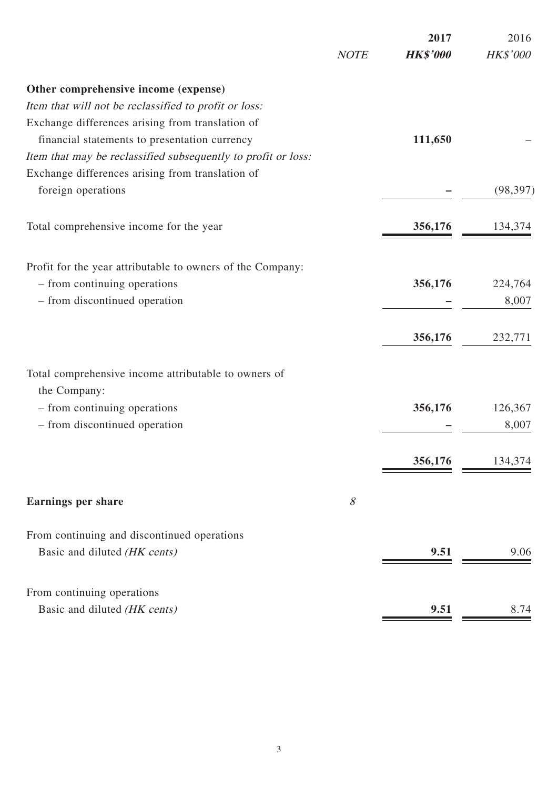|                                                               |             | 2017            | 2016      |
|---------------------------------------------------------------|-------------|-----------------|-----------|
|                                                               | <b>NOTE</b> | <b>HK\$'000</b> | HK\$'000  |
| Other comprehensive income (expense)                          |             |                 |           |
| Item that will not be reclassified to profit or loss:         |             |                 |           |
| Exchange differences arising from translation of              |             |                 |           |
| financial statements to presentation currency                 |             | 111,650         |           |
| Item that may be reclassified subsequently to profit or loss: |             |                 |           |
| Exchange differences arising from translation of              |             |                 |           |
| foreign operations                                            |             |                 | (98, 397) |
| Total comprehensive income for the year                       |             | 356,176         | 134,374   |
|                                                               |             |                 |           |
| Profit for the year attributable to owners of the Company:    |             |                 |           |
| - from continuing operations                                  |             | 356,176         | 224,764   |
| - from discontinued operation                                 |             |                 | 8,007     |
|                                                               |             | 356,176         | 232,771   |
|                                                               |             |                 |           |
| Total comprehensive income attributable to owners of          |             |                 |           |
| the Company:                                                  |             |                 |           |
| - from continuing operations                                  |             | 356,176         | 126,367   |
| - from discontinued operation                                 |             |                 | 8,007     |
|                                                               |             | 356,176         | 134,374   |
| <b>Earnings per share</b>                                     | 8           |                 |           |
|                                                               |             |                 |           |
| From continuing and discontinued operations                   |             |                 |           |
| Basic and diluted (HK cents)                                  |             | 9.51            | 9.06      |
| From continuing operations                                    |             |                 |           |
| Basic and diluted (HK cents)                                  |             | 9.51            | 8.74      |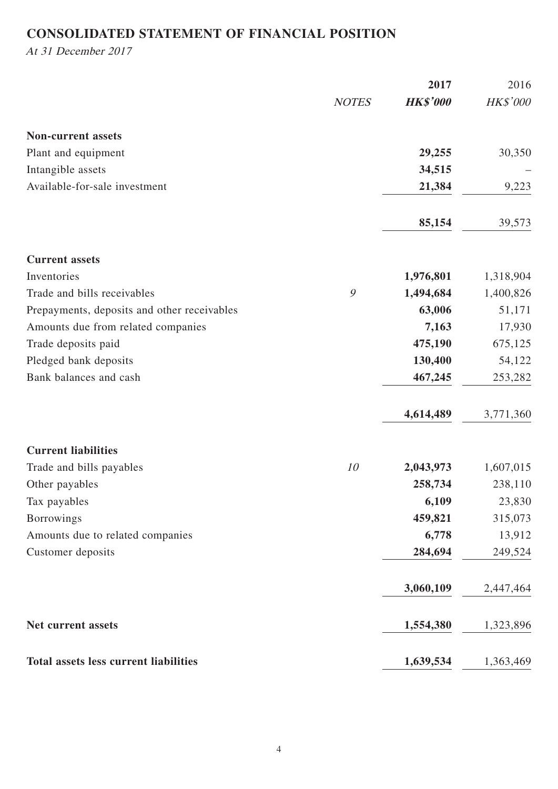# **CONSOLIDATED STATEMENT OF FINANCIAL POSITION**

At 31 December 2017

|                                              |              | 2017            | 2016      |
|----------------------------------------------|--------------|-----------------|-----------|
|                                              | <b>NOTES</b> | <b>HK\$'000</b> | HK\$'000  |
| <b>Non-current assets</b>                    |              |                 |           |
| Plant and equipment                          |              | 29,255          | 30,350    |
| Intangible assets                            |              | 34,515          |           |
| Available-for-sale investment                |              | 21,384          | 9,223     |
|                                              |              | 85,154          | 39,573    |
| <b>Current assets</b>                        |              |                 |           |
| Inventories                                  |              | 1,976,801       | 1,318,904 |
| Trade and bills receivables                  | 9            | 1,494,684       | 1,400,826 |
| Prepayments, deposits and other receivables  |              | 63,006          | 51,171    |
| Amounts due from related companies           |              | 7,163           | 17,930    |
| Trade deposits paid                          |              | 475,190         | 675,125   |
| Pledged bank deposits                        |              | 130,400         | 54,122    |
| Bank balances and cash                       |              | 467,245         | 253,282   |
|                                              |              | 4,614,489       | 3,771,360 |
| <b>Current liabilities</b>                   |              |                 |           |
| Trade and bills payables                     | 10           | 2,043,973       | 1,607,015 |
| Other payables                               |              | 258,734         | 238,110   |
| Tax payables                                 |              | 6,109           | 23,830    |
| <b>Borrowings</b>                            |              | 459,821         | 315,073   |
| Amounts due to related companies             |              | 6,778           | 13,912    |
| Customer deposits                            |              | 284,694         | 249,524   |
|                                              |              | 3,060,109       | 2,447,464 |
| Net current assets                           |              | 1,554,380       | 1,323,896 |
| <b>Total assets less current liabilities</b> |              | 1,639,534       | 1,363,469 |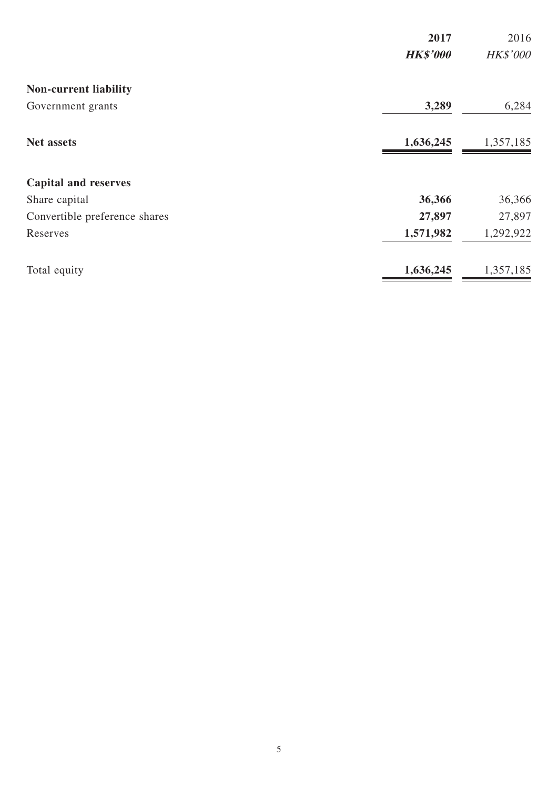|                               | 2017            | 2016      |
|-------------------------------|-----------------|-----------|
|                               | <b>HK\$'000</b> | HK\$'000  |
| <b>Non-current liability</b>  |                 |           |
| Government grants             | 3,289           | 6,284     |
| <b>Net assets</b>             | 1,636,245       | 1,357,185 |
| <b>Capital and reserves</b>   |                 |           |
| Share capital                 | 36,366          | 36,366    |
| Convertible preference shares | 27,897          | 27,897    |
| Reserves                      | 1,571,982       | 1,292,922 |
| Total equity                  | 1,636,245       | 1,357,185 |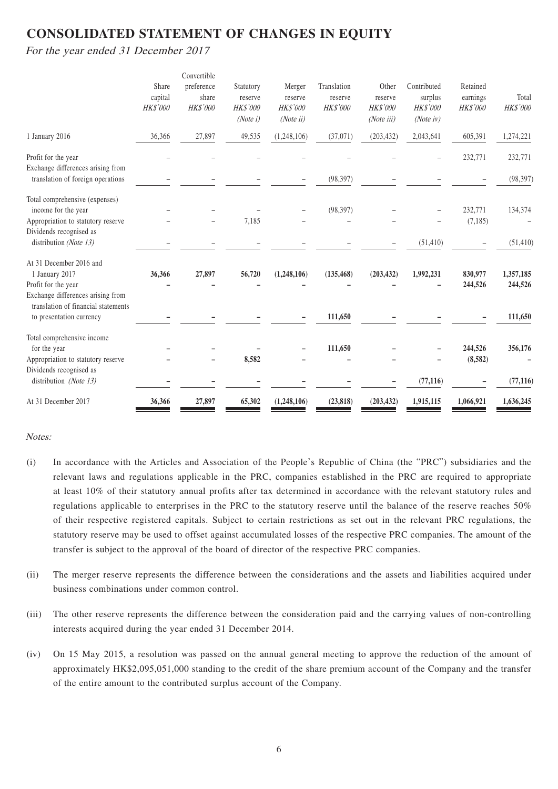## **CONSOLIDATED STATEMENT OF CHANGES IN EQUITY**

For the year ended 31 December 2017

|          | Convertible |            |                    |                          |                        | Contributed     |                        |                                 |
|----------|-------------|------------|--------------------|--------------------------|------------------------|-----------------|------------------------|---------------------------------|
| capital  | share       | reserve    | reserve            | reserve                  | reserve                | surplus         |                        | Total                           |
| HK\$'000 | HK\$'000    | HK\$'000   | HK\$'000           | <b>HK\$'000</b>          | HK\$'000               | <b>HK\$'000</b> | HK\$'000               | HK\$'000                        |
|          |             | (Note i)   | (Noteii)           |                          | (Noteiii)              | (Note $iv$ )    |                        |                                 |
| 36,366   | 27,897      | 49,535     | (1,248,106)        | (37, 071)                | (203, 432)             | 2,043,641       | 605,391                | 1,274,221                       |
|          |             |            |                    |                          |                        |                 | 232,771                | 232,771                         |
|          |             |            |                    |                          |                        |                 |                        |                                 |
|          |             |            |                    | (98, 397)                |                        |                 |                        | (98, 397)                       |
|          |             |            |                    |                          |                        |                 |                        |                                 |
|          |             |            |                    | (98, 397)                |                        |                 | 232,771                | 134,374                         |
|          |             | 7,185      |                    | $\overline{\phantom{0}}$ |                        |                 | (7,185)                |                                 |
|          |             |            |                    |                          |                        |                 |                        |                                 |
|          |             |            |                    |                          |                        |                 |                        | (51, 410)                       |
|          |             |            |                    |                          |                        |                 |                        |                                 |
| 36,366   | 27,897      | 56,720     | (1,248,106)        | (135, 468)               | (203, 432)             | 1,992,231       | 830,977                | 1,357,185                       |
|          |             |            |                    |                          |                        |                 | 244,526                | 244,526                         |
|          |             |            |                    |                          |                        |                 |                        |                                 |
|          |             |            |                    |                          |                        |                 |                        | 111,650                         |
|          |             |            |                    |                          |                        |                 |                        |                                 |
|          |             |            |                    |                          |                        |                 |                        |                                 |
|          |             |            |                    | 111,650                  |                        |                 | 244,526                | 356,176                         |
|          |             |            |                    |                          |                        |                 |                        |                                 |
|          |             |            |                    |                          |                        |                 |                        |                                 |
|          |             |            |                    |                          |                        |                 |                        | (77, 116)                       |
| 36,366   | 27,897      | 65,302     | (1,248,106)        | (23, 818)                | (203, 432)             | 1,915,115       | 1,066,921              | 1,636,245                       |
|          | Share       | preference | Statutory<br>8,582 | Merger                   | Translation<br>111,650 | Other           | (51, 410)<br>(77, 116) | Retained<br>earnings<br>(8,582) |

#### Notes:

- (i) In accordance with the Articles and Association of the People's Republic of China (the "PRC") subsidiaries and the relevant laws and regulations applicable in the PRC, companies established in the PRC are required to appropriate at least 10% of their statutory annual profits after tax determined in accordance with the relevant statutory rules and regulations applicable to enterprises in the PRC to the statutory reserve until the balance of the reserve reaches 50% of their respective registered capitals. Subject to certain restrictions as set out in the relevant PRC regulations, the statutory reserve may be used to offset against accumulated losses of the respective PRC companies. The amount of the transfer is subject to the approval of the board of director of the respective PRC companies.
- (ii) The merger reserve represents the difference between the considerations and the assets and liabilities acquired under business combinations under common control.
- (iii) The other reserve represents the difference between the consideration paid and the carrying values of non-controlling interests acquired during the year ended 31 December 2014.
- (iv) On 15 May 2015, a resolution was passed on the annual general meeting to approve the reduction of the amount of approximately HK\$2,095,051,000 standing to the credit of the share premium account of the Company and the transfer of the entire amount to the contributed surplus account of the Company.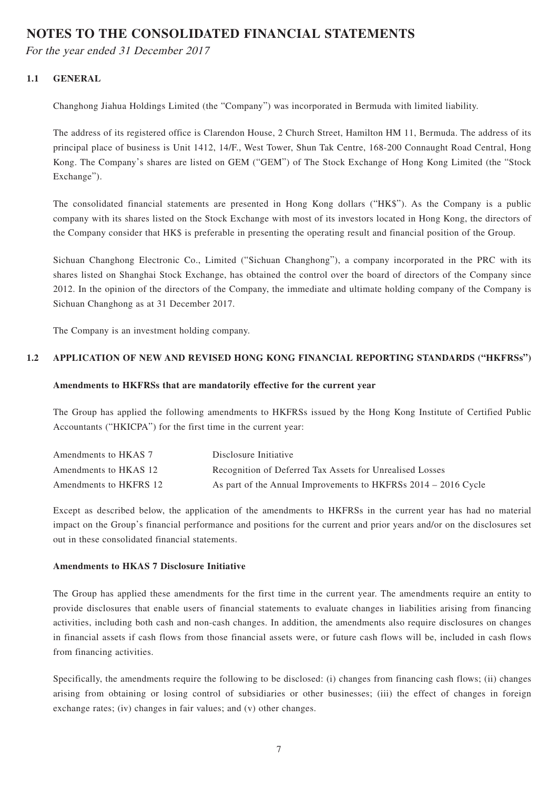## **NOTES TO THE CONSOLIDATED FINANCIAL STATEMENTS**

For the year ended 31 December 2017

#### **1.1 GENERAL**

Changhong Jiahua Holdings Limited (the "Company") was incorporated in Bermuda with limited liability.

The address of its registered office is Clarendon House, 2 Church Street, Hamilton HM 11, Bermuda. The address of its principal place of business is Unit 1412, 14/F., West Tower, Shun Tak Centre, 168-200 Connaught Road Central, Hong Kong. The Company's shares are listed on GEM ("GEM") of The Stock Exchange of Hong Kong Limited (the "Stock Exchange").

The consolidated financial statements are presented in Hong Kong dollars ("HK\$"). As the Company is a public company with its shares listed on the Stock Exchange with most of its investors located in Hong Kong, the directors of the Company consider that HK\$ is preferable in presenting the operating result and financial position of the Group.

Sichuan Changhong Electronic Co., Limited ("Sichuan Changhong"), a company incorporated in the PRC with its shares listed on Shanghai Stock Exchange, has obtained the control over the board of directors of the Company since 2012. In the opinion of the directors of the Company, the immediate and ultimate holding company of the Company is Sichuan Changhong as at 31 December 2017.

The Company is an investment holding company.

#### **1.2 APPLICATION OF NEW AND REVISED HONG KONG FINANCIAL REPORTING STANDARDS ("HKFRSs")**

#### **Amendments to HKFRSs that are mandatorily effective for the current year**

The Group has applied the following amendments to HKFRSs issued by the Hong Kong Institute of Certified Public Accountants ("HKICPA") for the first time in the current year:

| Amendments to HKAS 7   | Disclosure Initiative                                            |
|------------------------|------------------------------------------------------------------|
| Amendments to HKAS 12  | Recognition of Deferred Tax Assets for Unrealised Losses         |
| Amendments to HKFRS 12 | As part of the Annual Improvements to HKFRSs $2014 - 2016$ Cycle |

Except as described below, the application of the amendments to HKFRSs in the current year has had no material impact on the Group's financial performance and positions for the current and prior years and/or on the disclosures set out in these consolidated financial statements.

#### **Amendments to HKAS 7 Disclosure Initiative**

The Group has applied these amendments for the first time in the current year. The amendments require an entity to provide disclosures that enable users of financial statements to evaluate changes in liabilities arising from financing activities, including both cash and non-cash changes. In addition, the amendments also require disclosures on changes in financial assets if cash flows from those financial assets were, or future cash flows will be, included in cash flows from financing activities.

Specifically, the amendments require the following to be disclosed: (i) changes from financing cash flows; (ii) changes arising from obtaining or losing control of subsidiaries or other businesses; (iii) the effect of changes in foreign exchange rates; (iv) changes in fair values; and (v) other changes.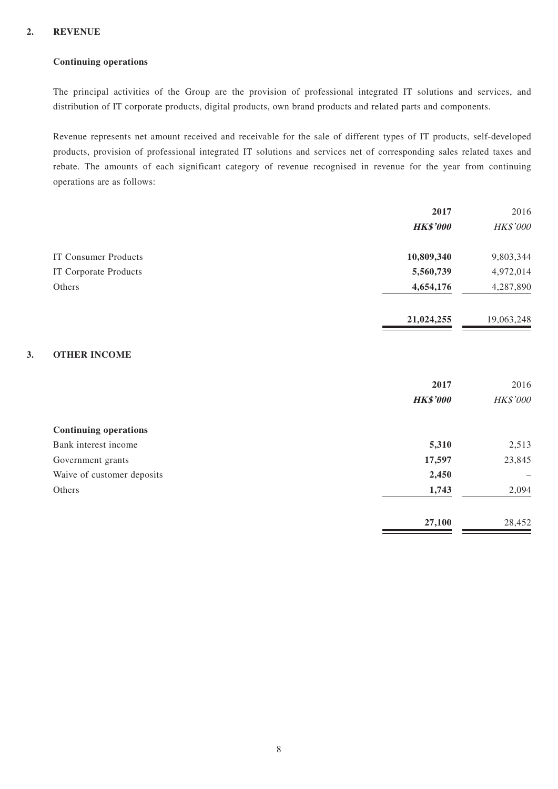#### **2. REVENUE**

#### **Continuing operations**

The principal activities of the Group are the provision of professional integrated IT solutions and services, and distribution of IT corporate products, digital products, own brand products and related parts and components.

Revenue represents net amount received and receivable for the sale of different types of IT products, self-developed products, provision of professional integrated IT solutions and services net of corresponding sales related taxes and rebate. The amounts of each significant category of revenue recognised in revenue for the year from continuing operations are as follows:

|    |                              | 2017            | 2016       |
|----|------------------------------|-----------------|------------|
|    |                              | <b>HK\$'000</b> | HK\$'000   |
|    | <b>IT Consumer Products</b>  | 10,809,340      | 9,803,344  |
|    | IT Corporate Products        | 5,560,739       | 4,972,014  |
|    | Others                       | 4,654,176       | 4,287,890  |
|    |                              | 21,024,255      | 19,063,248 |
| 3. | <b>OTHER INCOME</b>          |                 |            |
|    |                              | 2017            | 2016       |
|    |                              | <b>HK\$'000</b> | HK\$'000   |
|    | <b>Continuing operations</b> |                 |            |
|    | Bank interest income         | 5,310           | 2,513      |
|    | Government grants            | 17,597          | 23,845     |
|    | Waive of customer deposits   | 2,450           |            |
|    | Others                       | 1,743           | 2,094      |
|    |                              | 27,100          | 28,452     |
|    |                              |                 |            |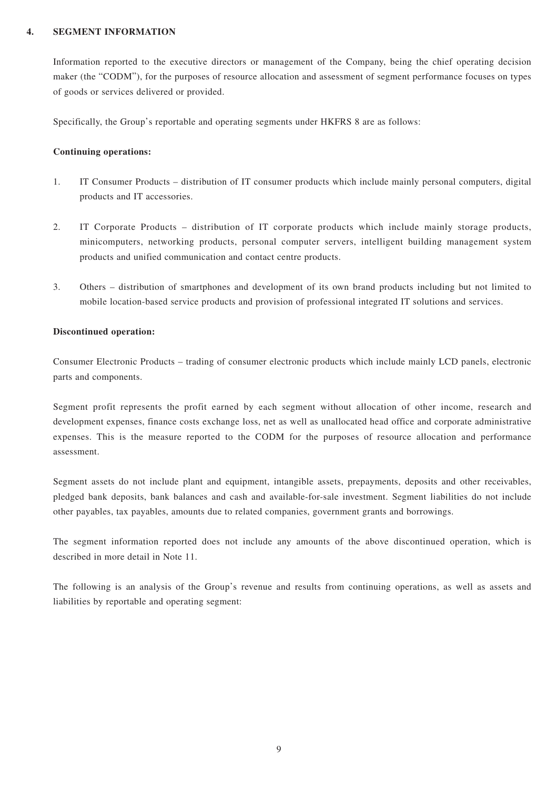#### **4. SEGMENT INFORMATION**

Information reported to the executive directors or management of the Company, being the chief operating decision maker (the "CODM"), for the purposes of resource allocation and assessment of segment performance focuses on types of goods or services delivered or provided.

Specifically, the Group's reportable and operating segments under HKFRS 8 are as follows:

#### **Continuing operations:**

- 1. IT Consumer Products distribution of IT consumer products which include mainly personal computers, digital products and IT accessories.
- 2. IT Corporate Products distribution of IT corporate products which include mainly storage products, minicomputers, networking products, personal computer servers, intelligent building management system products and unified communication and contact centre products.
- 3. Others distribution of smartphones and development of its own brand products including but not limited to mobile location-based service products and provision of professional integrated IT solutions and services.

#### **Discontinued operation:**

Consumer Electronic Products – trading of consumer electronic products which include mainly LCD panels, electronic parts and components.

Segment profit represents the profit earned by each segment without allocation of other income, research and development expenses, finance costs exchange loss, net as well as unallocated head office and corporate administrative expenses. This is the measure reported to the CODM for the purposes of resource allocation and performance assessment.

Segment assets do not include plant and equipment, intangible assets, prepayments, deposits and other receivables, pledged bank deposits, bank balances and cash and available-for-sale investment. Segment liabilities do not include other payables, tax payables, amounts due to related companies, government grants and borrowings.

The segment information reported does not include any amounts of the above discontinued operation, which is described in more detail in Note 11.

The following is an analysis of the Group's revenue and results from continuing operations, as well as assets and liabilities by reportable and operating segment: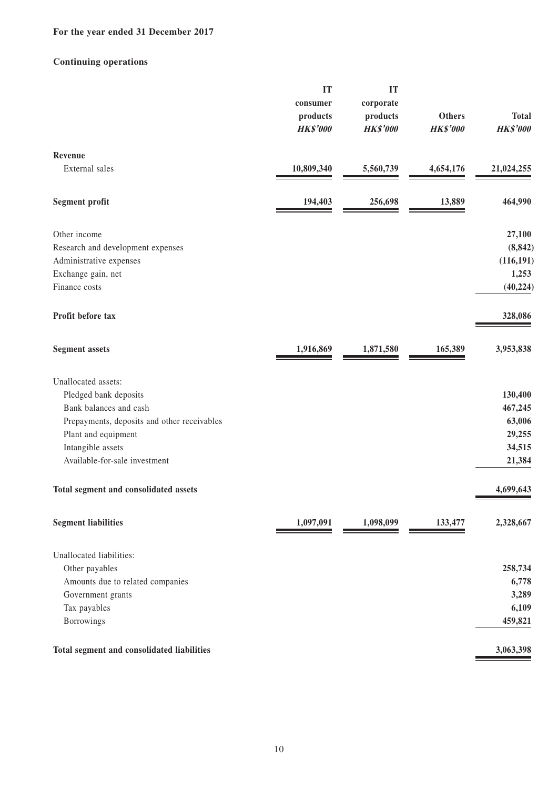### **For the year ended 31 December 2017**

### **Continuing operations**

|                                             | IT<br>consumer<br>products<br><b>HK\$'000</b> | IT<br>corporate<br>products<br><b>HK\$'000</b> | <b>Others</b><br><b>HK\$'000</b> | <b>Total</b><br><b>HK\$'000</b> |
|---------------------------------------------|-----------------------------------------------|------------------------------------------------|----------------------------------|---------------------------------|
| Revenue                                     |                                               |                                                |                                  |                                 |
| External sales                              | 10,809,340                                    | 5,560,739                                      | 4,654,176                        | 21,024,255                      |
| <b>Segment profit</b>                       | 194,403                                       | 256,698                                        | 13,889                           | 464,990                         |
| Other income                                |                                               |                                                |                                  | 27,100                          |
| Research and development expenses           |                                               |                                                |                                  | (8, 842)                        |
| Administrative expenses                     |                                               |                                                |                                  | (116, 191)                      |
| Exchange gain, net                          |                                               |                                                |                                  | 1,253                           |
| Finance costs                               |                                               |                                                |                                  | (40, 224)                       |
| Profit before tax                           |                                               |                                                |                                  | 328,086                         |
| <b>Segment assets</b>                       | 1,916,869                                     | 1,871,580                                      | 165,389                          | 3,953,838                       |
| Unallocated assets:                         |                                               |                                                |                                  |                                 |
| Pledged bank deposits                       |                                               |                                                |                                  | 130,400                         |
| Bank balances and cash                      |                                               |                                                |                                  | 467,245                         |
| Prepayments, deposits and other receivables |                                               |                                                |                                  | 63,006                          |
| Plant and equipment                         |                                               |                                                |                                  | 29,255                          |
| Intangible assets                           |                                               |                                                |                                  | 34,515                          |
| Available-for-sale investment               |                                               |                                                |                                  | 21,384                          |
| Total segment and consolidated assets       |                                               |                                                |                                  | 4,699,643                       |
| <b>Segment liabilities</b>                  | 1,097,091                                     | 1,098,099                                      | 133,477                          | 2,328,667                       |
| Unallocated liabilities:                    |                                               |                                                |                                  |                                 |
| Other payables                              |                                               |                                                |                                  | 258,734                         |
| Amounts due to related companies            |                                               |                                                |                                  | 6,778                           |
| Government grants                           |                                               |                                                |                                  | 3,289                           |
| Tax payables                                |                                               |                                                |                                  | 6,109                           |
| Borrowings                                  |                                               |                                                |                                  | 459,821                         |
| Total segment and consolidated liabilities  |                                               |                                                |                                  | 3,063,398                       |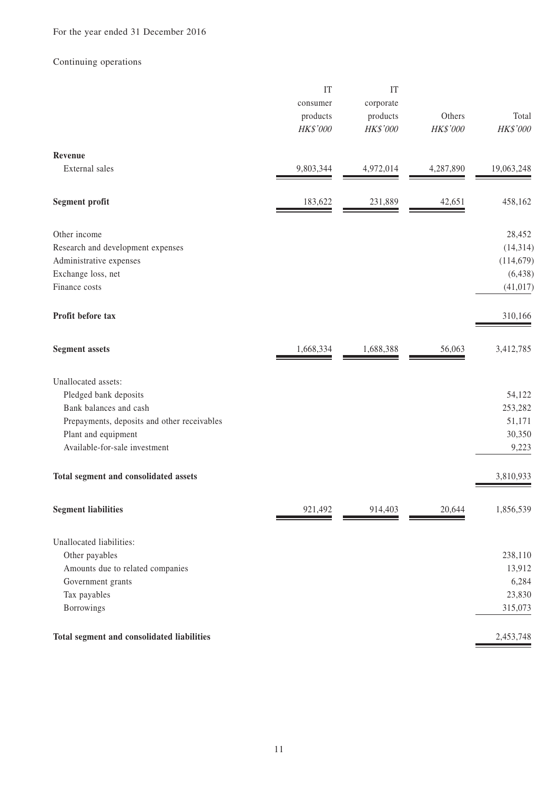### Continuing operations

|                                             | IT<br>consumer<br>products<br>HK\$'000 | IT<br>corporate<br>products<br>HK\$'000 | Others<br>HK\$'000 | Total<br>HK\$'000 |
|---------------------------------------------|----------------------------------------|-----------------------------------------|--------------------|-------------------|
| Revenue                                     |                                        |                                         |                    |                   |
| External sales                              | 9,803,344                              | 4,972,014                               | 4,287,890          | 19,063,248        |
| <b>Segment profit</b>                       | 183,622                                | 231,889                                 | 42,651             | 458,162           |
| Other income                                |                                        |                                         |                    | 28,452            |
| Research and development expenses           |                                        |                                         |                    | (14, 314)         |
| Administrative expenses                     |                                        |                                         |                    | (114, 679)        |
| Exchange loss, net                          |                                        |                                         |                    | (6, 438)          |
| Finance costs                               |                                        |                                         |                    | (41, 017)         |
| Profit before tax                           |                                        |                                         |                    | 310,166           |
| <b>Segment assets</b>                       | 1,668,334                              | 1,688,388                               | 56,063             | 3,412,785         |
| Unallocated assets:                         |                                        |                                         |                    |                   |
| Pledged bank deposits                       |                                        |                                         |                    | 54,122            |
| Bank balances and cash                      |                                        |                                         |                    | 253,282           |
| Prepayments, deposits and other receivables |                                        |                                         |                    | 51,171            |
| Plant and equipment                         |                                        |                                         |                    | 30,350            |
| Available-for-sale investment               |                                        |                                         |                    | 9,223             |
| Total segment and consolidated assets       |                                        |                                         |                    | 3,810,933         |
| <b>Segment liabilities</b>                  | 921,492                                | 914,403                                 | 20,644             | 1,856,539         |
| Unallocated liabilities:                    |                                        |                                         |                    |                   |
| Other payables                              |                                        |                                         |                    | 238,110           |
| Amounts due to related companies            |                                        |                                         |                    | 13,912            |
| Government grants                           |                                        |                                         |                    | 6,284             |
| Tax payables                                |                                        |                                         |                    | 23,830            |
| Borrowings                                  |                                        |                                         |                    | 315,073           |
| Total segment and consolidated liabilities  |                                        |                                         |                    | 2,453,748         |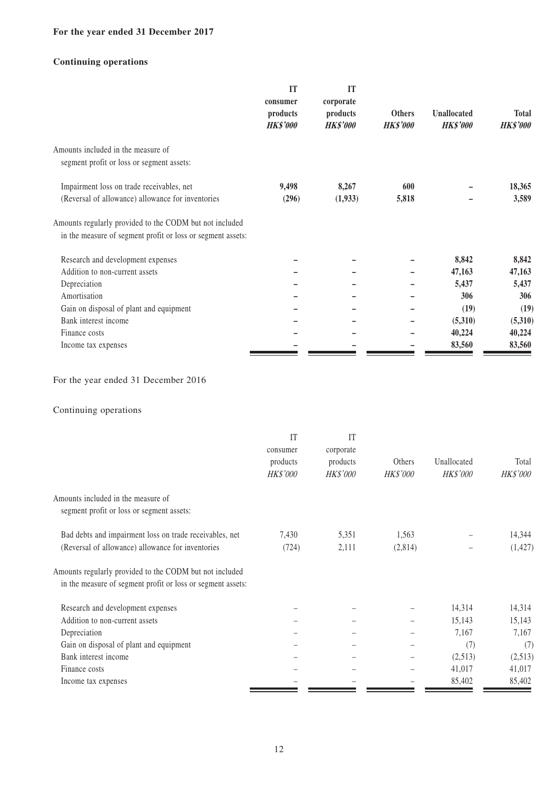### **For the year ended 31 December 2017**

### **Continuing operations**

|                                                                                 | IT<br>consumer              | IT<br>corporate             |                                  |                                       |                          |
|---------------------------------------------------------------------------------|-----------------------------|-----------------------------|----------------------------------|---------------------------------------|--------------------------|
|                                                                                 | products<br><b>HK\$'000</b> | products<br><b>HK\$'000</b> | <b>Others</b><br><b>HK\$'000</b> | <b>Unallocated</b><br><b>HK\$'000</b> | Total<br><b>HK\$'000</b> |
| Amounts included in the measure of<br>segment profit or loss or segment assets: |                             |                             |                                  |                                       |                          |
| Impairment loss on trade receivables, net                                       | 9,498                       | 8,267                       | 600                              |                                       | 18,365                   |
| (Reversal of allowance) allowance for inventories                               | (296)                       | (1,933)                     | 5,818                            |                                       | 3,589                    |
| Amounts regularly provided to the CODM but not included                         |                             |                             |                                  |                                       |                          |
| in the measure of segment profit or loss or segment assets:                     |                             |                             |                                  |                                       |                          |
| Research and development expenses                                               |                             |                             |                                  | 8,842                                 | 8,842                    |
| Addition to non-current assets                                                  |                             |                             |                                  | 47,163                                | 47,163                   |
| Depreciation                                                                    |                             |                             |                                  | 5,437                                 | 5,437                    |
| Amortisation                                                                    |                             |                             |                                  | 306                                   | 306                      |
| Gain on disposal of plant and equipment                                         |                             |                             |                                  | (19)                                  | (19)                     |
| Bank interest income                                                            |                             |                             |                                  | (5,310)                               | (5,310)                  |
| Finance costs                                                                   |                             |                             |                                  | 40,224                                | 40,224                   |
| Income tax expenses                                                             |                             |                             |                                  | 83,560                                | 83,560                   |

### For the year ended 31 December 2016

### Continuing operations

|                                                                                                                        | IT              | IT              |          |             |          |
|------------------------------------------------------------------------------------------------------------------------|-----------------|-----------------|----------|-------------|----------|
|                                                                                                                        | consumer        | corporate       |          |             |          |
|                                                                                                                        | products        | products        | Others   | Unallocated | Total    |
|                                                                                                                        | <i>HK\$'000</i> | <b>HK\$'000</b> | HK\$'000 | HK\$'000    | HK\$'000 |
| Amounts included in the measure of                                                                                     |                 |                 |          |             |          |
| segment profit or loss or segment assets:                                                                              |                 |                 |          |             |          |
| Bad debts and impairment loss on trade receivables, net                                                                | 7,430           | 5,351           | 1,563    |             | 14,344   |
| (Reversal of allowance) allowance for inventories                                                                      | (724)           | 2,111           | (2,814)  |             | (1, 427) |
| Amounts regularly provided to the CODM but not included<br>in the measure of segment profit or loss or segment assets: |                 |                 |          |             |          |
| Research and development expenses                                                                                      |                 |                 |          | 14,314      | 14,314   |
| Addition to non-current assets                                                                                         |                 |                 |          | 15,143      | 15,143   |
| Depreciation                                                                                                           |                 |                 |          | 7,167       | 7,167    |
| Gain on disposal of plant and equipment                                                                                |                 |                 |          | (7)         | (7)      |
| Bank interest income                                                                                                   |                 |                 |          | (2,513)     | (2,513)  |
| Finance costs                                                                                                          |                 |                 |          | 41,017      | 41,017   |
| Income tax expenses                                                                                                    |                 |                 |          | 85,402      | 85,402   |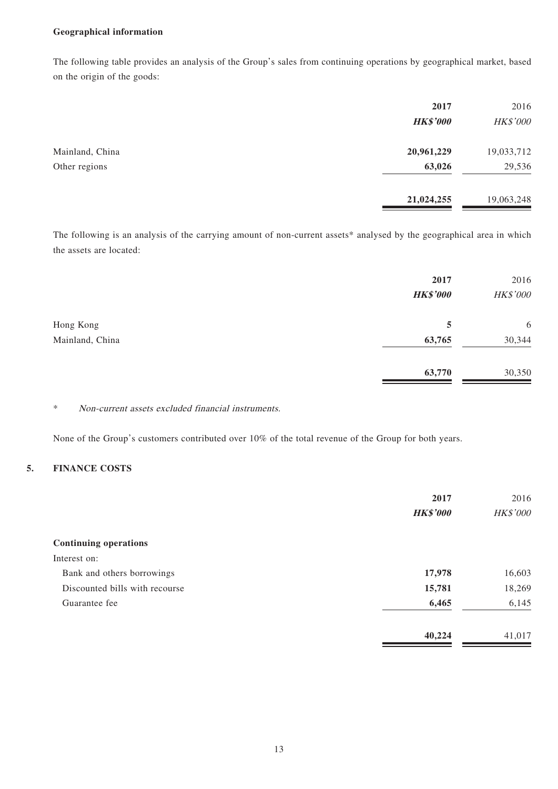#### **Geographical information**

The following table provides an analysis of the Group's sales from continuing operations by geographical market, based on the origin of the goods:

|                 | 2017            | 2016       |
|-----------------|-----------------|------------|
|                 | <b>HK\$'000</b> | HK\$'000   |
| Mainland, China | 20,961,229      | 19,033,712 |
| Other regions   | 63,026          | 29,536     |
|                 | 21,024,255      | 19,063,248 |

The following is an analysis of the carrying amount of non-current assets\* analysed by the geographical area in which the assets are located:

|                 | 2017<br><b>HK\$'000</b> | 2016<br>HK\$'000 |
|-----------------|-------------------------|------------------|
| Hong Kong       | 5                       | 6                |
| Mainland, China | 63,765                  | 30,344           |
|                 | 63,770                  | 30,350           |

#### \* Non-current assets excluded financial instruments.

None of the Group's customers contributed over 10% of the total revenue of the Group for both years.

#### **5. FINANCE COSTS**

|                                | 2017            | 2016     |
|--------------------------------|-----------------|----------|
|                                | <b>HK\$'000</b> | HK\$'000 |
| <b>Continuing operations</b>   |                 |          |
| Interest on:                   |                 |          |
| Bank and others borrowings     | 17,978          | 16,603   |
| Discounted bills with recourse | 15,781          | 18,269   |
| Guarantee fee                  | 6,465           | 6,145    |
|                                | 40,224          | 41,017   |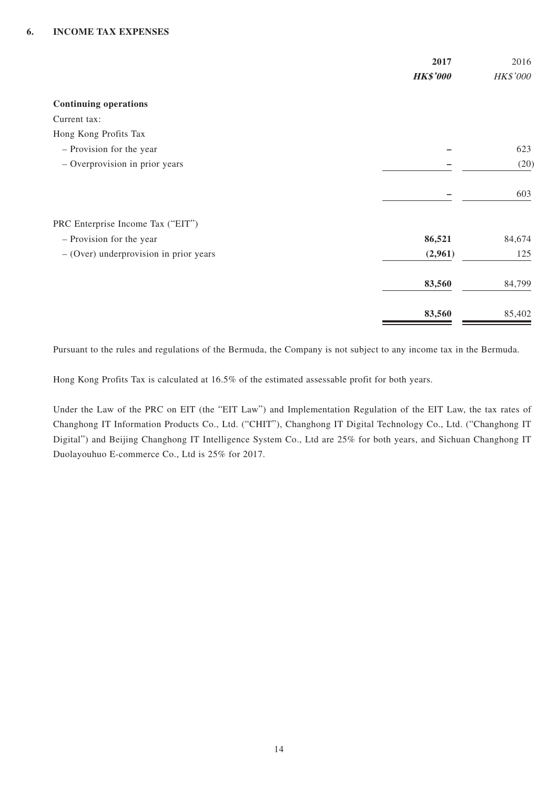|                                          | 2017            | 2016     |
|------------------------------------------|-----------------|----------|
|                                          | <b>HK\$'000</b> | HK\$'000 |
| <b>Continuing operations</b>             |                 |          |
| Current tax:                             |                 |          |
| Hong Kong Profits Tax                    |                 |          |
| - Provision for the year                 |                 | 623      |
| - Overprovision in prior years           |                 | (20)     |
|                                          |                 | 603      |
| PRC Enterprise Income Tax ("EIT")        |                 |          |
| - Provision for the year                 | 86,521          | 84,674   |
| $-$ (Over) underprovision in prior years | (2,961)         | 125      |
|                                          | 83,560          | 84,799   |
|                                          | 83,560          | 85,402   |

Pursuant to the rules and regulations of the Bermuda, the Company is not subject to any income tax in the Bermuda.

Hong Kong Profits Tax is calculated at 16.5% of the estimated assessable profit for both years.

Under the Law of the PRC on EIT (the "EIT Law") and Implementation Regulation of the EIT Law, the tax rates of Changhong IT Information Products Co., Ltd. ("CHIT"), Changhong IT Digital Technology Co., Ltd. ("Changhong IT Digital") and Beijing Changhong IT Intelligence System Co., Ltd are 25% for both years, and Sichuan Changhong IT Duolayouhuo E-commerce Co., Ltd is 25% for 2017.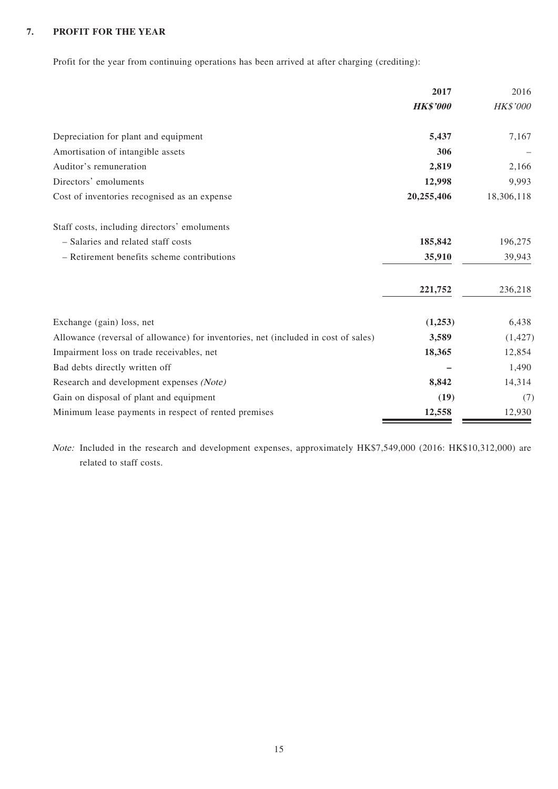### **7. PROFIT FOR THE YEAR**

Profit for the year from continuing operations has been arrived at after charging (crediting):

|                                                                                    | 2017            | 2016            |
|------------------------------------------------------------------------------------|-----------------|-----------------|
|                                                                                    | <b>HK\$'000</b> | <b>HK\$'000</b> |
| Depreciation for plant and equipment                                               | 5,437           | 7,167           |
| Amortisation of intangible assets                                                  | 306             |                 |
| Auditor's remuneration                                                             | 2,819           | 2,166           |
| Directors' emoluments                                                              | 12,998          | 9,993           |
| Cost of inventories recognised as an expense                                       | 20,255,406      | 18,306,118      |
| Staff costs, including directors' emoluments                                       |                 |                 |
| - Salaries and related staff costs                                                 | 185,842         | 196,275         |
| - Retirement benefits scheme contributions                                         | 35,910          | 39,943          |
|                                                                                    | 221,752         | 236,218         |
| Exchange (gain) loss, net                                                          | (1,253)         | 6,438           |
| Allowance (reversal of allowance) for inventories, net (included in cost of sales) | 3,589           | (1, 427)        |
| Impairment loss on trade receivables, net                                          | 18,365          | 12,854          |
| Bad debts directly written off                                                     |                 | 1,490           |
| Research and development expenses (Note)                                           | 8,842           | 14,314          |
| Gain on disposal of plant and equipment                                            | (19)            | (7)             |
| Minimum lease payments in respect of rented premises                               | 12,558          | 12,930          |

Note: Included in the research and development expenses, approximately HK\$7,549,000 (2016: HK\$10,312,000) are related to staff costs.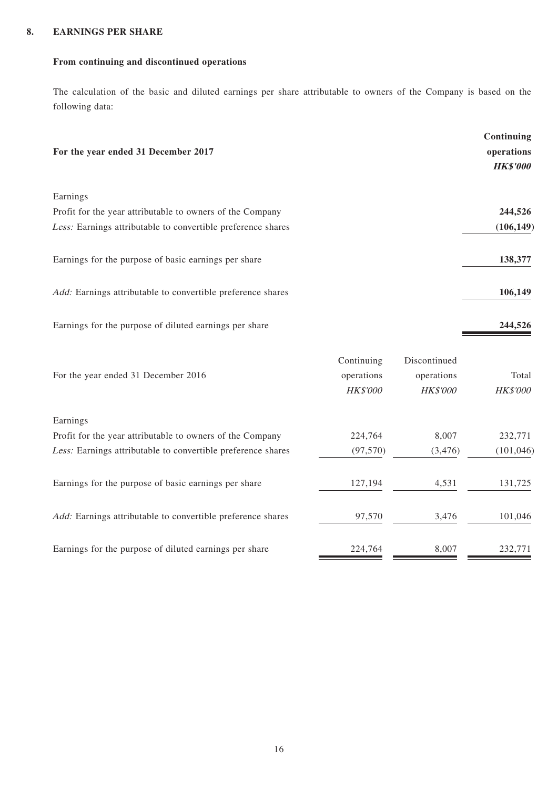#### **8. EARNINGS PER SHARE**

### **From continuing and discontinued operations**

The calculation of the basic and diluted earnings per share attributable to owners of the Company is based on the following data:

| For the year ended 31 December 2017                                | Continuing<br>operations<br><b>HK\$'000</b> |
|--------------------------------------------------------------------|---------------------------------------------|
| Earnings                                                           |                                             |
| Profit for the year attributable to owners of the Company          | 244,526                                     |
| Less: Earnings attributable to convertible preference shares       | (106, 149)                                  |
| Earnings for the purpose of basic earnings per share               | 138,377                                     |
| <i>Add:</i> Earnings attributable to convertible preference shares | 106,149                                     |
| Earnings for the purpose of diluted earnings per share             | 244,526                                     |

|                                                                    | Continuing      | Discontinued    |                 |
|--------------------------------------------------------------------|-----------------|-----------------|-----------------|
| For the year ended 31 December 2016                                | operations      | operations      | Total           |
|                                                                    | <b>HK\$'000</b> | <b>HK\$'000</b> | <b>HK\$'000</b> |
| Earnings                                                           |                 |                 |                 |
| Profit for the year attributable to owners of the Company          | 224,764         | 8,007           | 232,771         |
| Less: Earnings attributable to convertible preference shares       | (97, 570)       | (3, 476)        | (101, 046)      |
| Earnings for the purpose of basic earnings per share               | 127,194         | 4,531           | 131,725         |
| <i>Add:</i> Earnings attributable to convertible preference shares | 97,570          | 3,476           | 101,046         |
| Earnings for the purpose of diluted earnings per share             | 224,764         | 8,007           | 232,771         |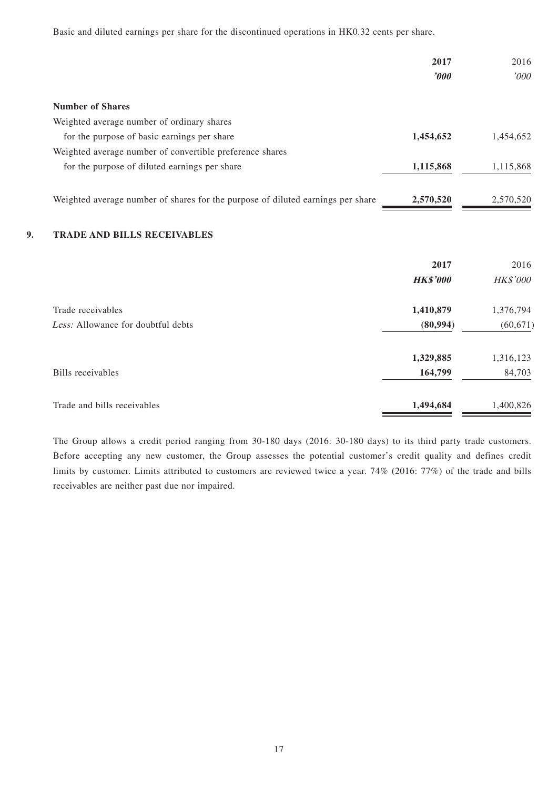Basic and diluted earnings per share for the discontinued operations in HK0.32 cents per share.

|                                                                                 | 2017        | 2016      |
|---------------------------------------------------------------------------------|-------------|-----------|
|                                                                                 | $\bm{0.00}$ | '000'     |
| <b>Number of Shares</b>                                                         |             |           |
| Weighted average number of ordinary shares                                      |             |           |
| for the purpose of basic earnings per share                                     | 1,454,652   | 1.454.652 |
| Weighted average number of convertible preference shares                        |             |           |
| for the purpose of diluted earnings per share                                   | 1,115,868   | 1,115,868 |
| Weighted average number of shares for the purpose of diluted earnings per share | 2,570,520   | 2,570,520 |

#### **9. TRADE AND BILLS RECEIVABLES**

|                                    | 2017            | 2016            |
|------------------------------------|-----------------|-----------------|
|                                    | <b>HK\$'000</b> | <b>HK\$'000</b> |
| Trade receivables                  | 1,410,879       | 1,376,794       |
| Less: Allowance for doubtful debts | (80, 994)       | (60, 671)       |
|                                    | 1,329,885       | 1,316,123       |
| Bills receivables                  | 164,799         | 84,703          |
| Trade and bills receivables        | 1,494,684       | 1,400,826       |

The Group allows a credit period ranging from 30-180 days (2016: 30-180 days) to its third party trade customers. Before accepting any new customer, the Group assesses the potential customer's credit quality and defines credit limits by customer. Limits attributed to customers are reviewed twice a year. 74% (2016: 77%) of the trade and bills receivables are neither past due nor impaired.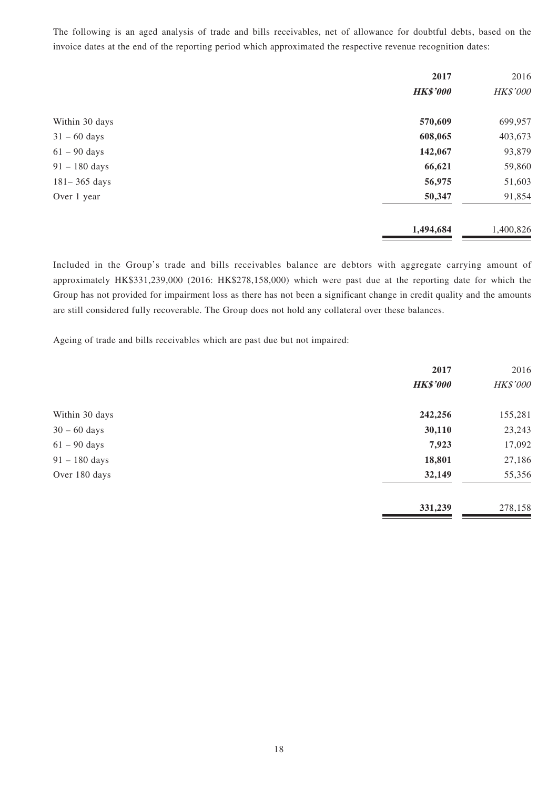The following is an aged analysis of trade and bills receivables, net of allowance for doubtful debts, based on the invoice dates at the end of the reporting period which approximated the respective revenue recognition dates:

|                  | 2017            | 2016      |
|------------------|-----------------|-----------|
|                  | <b>HK\$'000</b> | HK\$'000  |
| Within 30 days   | 570,609         | 699,957   |
| $31 - 60$ days   | 608,065         | 403,673   |
| $61 - 90$ days   | 142,067         | 93,879    |
| $91 - 180$ days  | 66,621          | 59,860    |
| $181 - 365$ days | 56,975          | 51,603    |
| Over 1 year      | 50,347          | 91,854    |
|                  | 1,494,684       | 1,400,826 |

Included in the Group's trade and bills receivables balance are debtors with aggregate carrying amount of approximately HK\$331,239,000 (2016: HK\$278,158,000) which were past due at the reporting date for which the Group has not provided for impairment loss as there has not been a significant change in credit quality and the amounts are still considered fully recoverable. The Group does not hold any collateral over these balances.

Ageing of trade and bills receivables which are past due but not impaired:

|                 | 2017            | 2016     |
|-----------------|-----------------|----------|
|                 | <b>HK\$'000</b> | HK\$'000 |
| Within 30 days  | 242,256         | 155,281  |
| $30 - 60$ days  | 30,110          | 23,243   |
| $61 - 90$ days  | 7,923           | 17,092   |
| $91 - 180$ days | 18,801          | 27,186   |
| Over 180 days   | 32,149          | 55,356   |
|                 | 331,239         | 278,158  |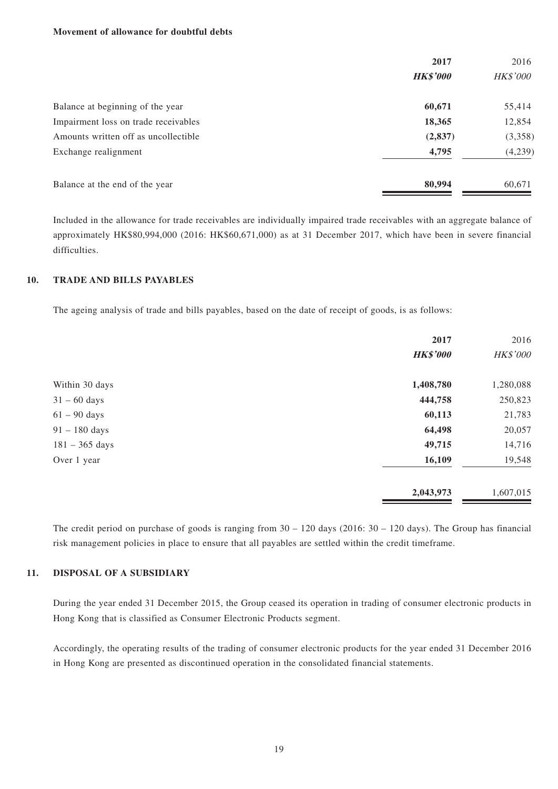#### **Movement of allowance for doubtful debts**

|                                      | 2017<br><b>HK\$'000</b> | 2016<br><b>HK\$'000</b> |
|--------------------------------------|-------------------------|-------------------------|
| Balance at beginning of the year     | 60,671                  | 55,414                  |
| Impairment loss on trade receivables | 18,365                  | 12,854                  |
| Amounts written off as uncollectible | (2, 837)                | (3,358)                 |
| Exchange realignment                 | 4,795                   | (4,239)                 |
| Balance at the end of the year       | 80,994                  | 60,671                  |

Included in the allowance for trade receivables are individually impaired trade receivables with an aggregate balance of approximately HK\$80,994,000 (2016: HK\$60,671,000) as at 31 December 2017, which have been in severe financial difficulties.

#### **10. TRADE AND BILLS PAYABLES**

The ageing analysis of trade and bills payables, based on the date of receipt of goods, is as follows:

|                  | 2017            | 2016      |
|------------------|-----------------|-----------|
|                  | <b>HK\$'000</b> | HK\$'000  |
| Within 30 days   | 1,408,780       | 1,280,088 |
| $31 - 60$ days   | 444,758         | 250,823   |
| $61 - 90$ days   | 60,113          | 21,783    |
| $91 - 180$ days  | 64,498          | 20,057    |
| $181 - 365$ days | 49,715          | 14,716    |
| Over 1 year      | 16,109          | 19,548    |
|                  | 2,043,973       | 1,607,015 |

The credit period on purchase of goods is ranging from 30 – 120 days (2016: 30 – 120 days). The Group has financial risk management policies in place to ensure that all payables are settled within the credit timeframe.

#### **11. DISPOSAL OF A SUBSIDIARY**

During the year ended 31 December 2015, the Group ceased its operation in trading of consumer electronic products in Hong Kong that is classified as Consumer Electronic Products segment.

Accordingly, the operating results of the trading of consumer electronic products for the year ended 31 December 2016 in Hong Kong are presented as discontinued operation in the consolidated financial statements.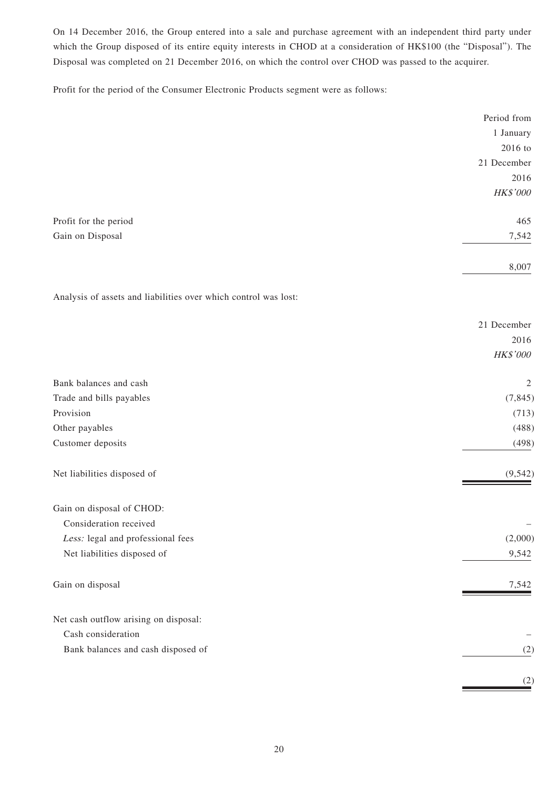On 14 December 2016, the Group entered into a sale and purchase agreement with an independent third party under which the Group disposed of its entire equity interests in CHOD at a consideration of HK\$100 (the "Disposal"). The Disposal was completed on 21 December 2016, on which the control over CHOD was passed to the acquirer.

Profit for the period of the Consumer Electronic Products segment were as follows:

|                                                                 | Period from |
|-----------------------------------------------------------------|-------------|
|                                                                 | 1 January   |
|                                                                 | 2016 to     |
|                                                                 | 21 December |
|                                                                 | 2016        |
|                                                                 | HK\$'000    |
| Profit for the period                                           | 465         |
| Gain on Disposal                                                | 7,542       |
|                                                                 | 8,007       |
| Analysis of assets and liabilities over which control was lost: |             |
|                                                                 | 21 December |
|                                                                 | 2016        |
|                                                                 | HK\$'000    |
| Bank balances and cash                                          | 2           |
| Trade and bills payables                                        | (7, 845)    |
| Provision                                                       | (713)       |
| Other payables                                                  | (488)       |
| Customer deposits                                               | (498)       |
| Net liabilities disposed of                                     | (9, 542)    |
| Gain on disposal of CHOD:                                       |             |
| Consideration received                                          |             |
| Less: legal and professional fees                               | (2,000)     |
| Net liabilities disposed of                                     | 9,542       |
| Gain on disposal                                                | 7,542       |
| Net cash outflow arising on disposal:                           |             |
| Cash consideration                                              |             |
| Bank balances and cash disposed of                              | (2)         |
|                                                                 | (2)         |
|                                                                 |             |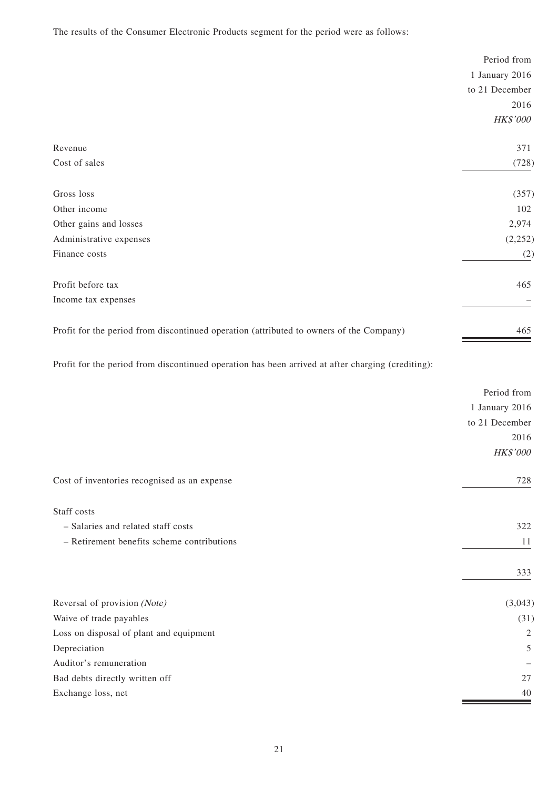The results of the Consumer Electronic Products segment for the period were as follows:

|                                                                                         | Period from     |
|-----------------------------------------------------------------------------------------|-----------------|
|                                                                                         | 1 January 2016  |
|                                                                                         | to 21 December  |
|                                                                                         | 2016            |
|                                                                                         | <b>HK\$'000</b> |
| Revenue                                                                                 | 371             |
| Cost of sales                                                                           | (728)           |
| Gross loss                                                                              | (357)           |
| Other income                                                                            | 102             |
| Other gains and losses                                                                  | 2,974           |
| Administrative expenses                                                                 | (2,252)         |
| Finance costs                                                                           | (2)             |
| Profit before tax                                                                       | 465             |
| Income tax expenses                                                                     |                 |
| Profit for the period from discontinued operation (attributed to owners of the Company) | 465             |

Profit for the period from discontinued operation has been arrived at after charging (crediting):

|                                              | Period from     |
|----------------------------------------------|-----------------|
|                                              | 1 January 2016  |
|                                              | to 21 December  |
|                                              | 2016            |
|                                              | <b>HK\$'000</b> |
| Cost of inventories recognised as an expense | 728             |
| Staff costs                                  |                 |
| - Salaries and related staff costs           | 322             |
| - Retirement benefits scheme contributions   | 11              |
|                                              | 333             |
| Reversal of provision (Note)                 | (3,043)         |
| Waive of trade payables                      | (31)            |
| Loss on disposal of plant and equipment      | $\sqrt{2}$      |
| Depreciation                                 | 5               |
| Auditor's remuneration                       |                 |
| Bad debts directly written off               | 27              |
| Exchange loss, net                           | 40              |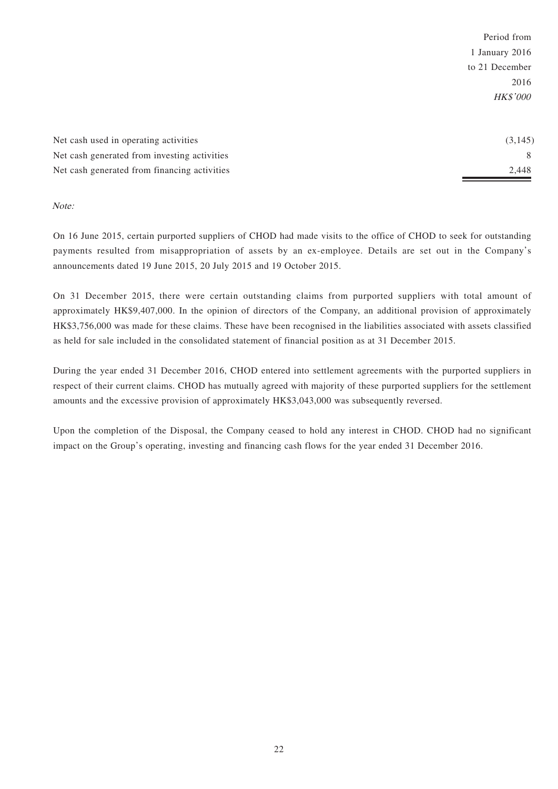|                                              | Period from     |
|----------------------------------------------|-----------------|
|                                              | 1 January 2016  |
|                                              | to 21 December  |
|                                              | 2016            |
|                                              | <b>HK\$'000</b> |
|                                              |                 |
|                                              |                 |
| Net cash used in operating activities        | (3, 145)        |
| Net cash generated from investing activities | 8               |
| Net cash generated from financing activities | 2,448           |

Note:

On 16 June 2015, certain purported suppliers of CHOD had made visits to the office of CHOD to seek for outstanding payments resulted from misappropriation of assets by an ex-employee. Details are set out in the Company's announcements dated 19 June 2015, 20 July 2015 and 19 October 2015.

On 31 December 2015, there were certain outstanding claims from purported suppliers with total amount of approximately HK\$9,407,000. In the opinion of directors of the Company, an additional provision of approximately HK\$3,756,000 was made for these claims. These have been recognised in the liabilities associated with assets classified as held for sale included in the consolidated statement of financial position as at 31 December 2015.

During the year ended 31 December 2016, CHOD entered into settlement agreements with the purported suppliers in respect of their current claims. CHOD has mutually agreed with majority of these purported suppliers for the settlement amounts and the excessive provision of approximately HK\$3,043,000 was subsequently reversed.

Upon the completion of the Disposal, the Company ceased to hold any interest in CHOD. CHOD had no significant impact on the Group's operating, investing and financing cash flows for the year ended 31 December 2016.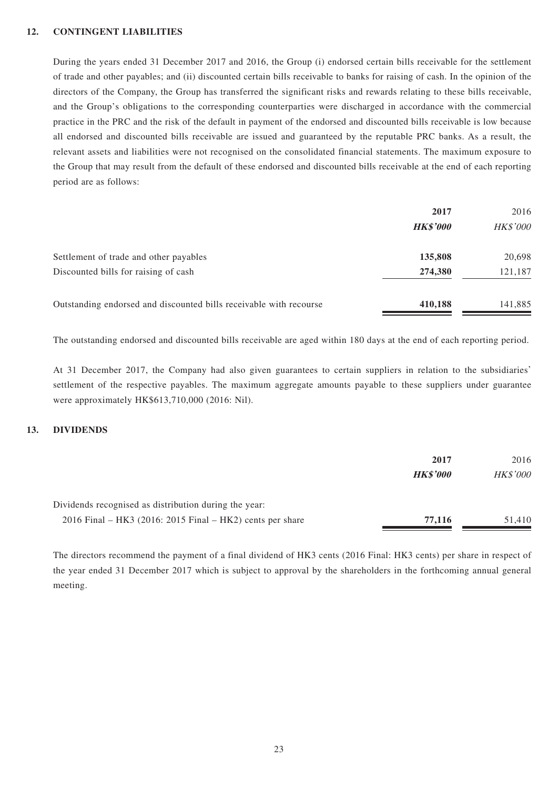#### **12. CONTINGENT LIABILITIES**

During the years ended 31 December 2017 and 2016, the Group (i) endorsed certain bills receivable for the settlement of trade and other payables; and (ii) discounted certain bills receivable to banks for raising of cash. In the opinion of the directors of the Company, the Group has transferred the significant risks and rewards relating to these bills receivable, and the Group's obligations to the corresponding counterparties were discharged in accordance with the commercial practice in the PRC and the risk of the default in payment of the endorsed and discounted bills receivable is low because all endorsed and discounted bills receivable are issued and guaranteed by the reputable PRC banks. As a result, the relevant assets and liabilities were not recognised on the consolidated financial statements. The maximum exposure to the Group that may result from the default of these endorsed and discounted bills receivable at the end of each reporting period are as follows:

|                                                                    | 2017            | 2016            |
|--------------------------------------------------------------------|-----------------|-----------------|
|                                                                    | <b>HK\$'000</b> | <b>HK\$'000</b> |
| Settlement of trade and other payables                             | 135,808         | 20,698          |
| Discounted bills for raising of cash                               | 274,380         | 121,187         |
| Outstanding endorsed and discounted bills receivable with recourse | 410,188         | 141,885         |

The outstanding endorsed and discounted bills receivable are aged within 180 days at the end of each reporting period.

At 31 December 2017, the Company had also given guarantees to certain suppliers in relation to the subsidiaries' settlement of the respective payables. The maximum aggregate amounts payable to these suppliers under guarantee were approximately HK\$613,710,000 (2016: Nil).

#### **13. DIVIDENDS**

|                                                             | 2017            | 2016            |
|-------------------------------------------------------------|-----------------|-----------------|
|                                                             | <b>HK\$'000</b> | <b>HK\$'000</b> |
| Dividends recognised as distribution during the year:       |                 |                 |
| $2016$ Final – HK3 (2016: 2015 Final – HK2) cents per share | 77,116          | 51.410          |

The directors recommend the payment of a final dividend of HK3 cents (2016 Final: HK3 cents) per share in respect of the year ended 31 December 2017 which is subject to approval by the shareholders in the forthcoming annual general meeting.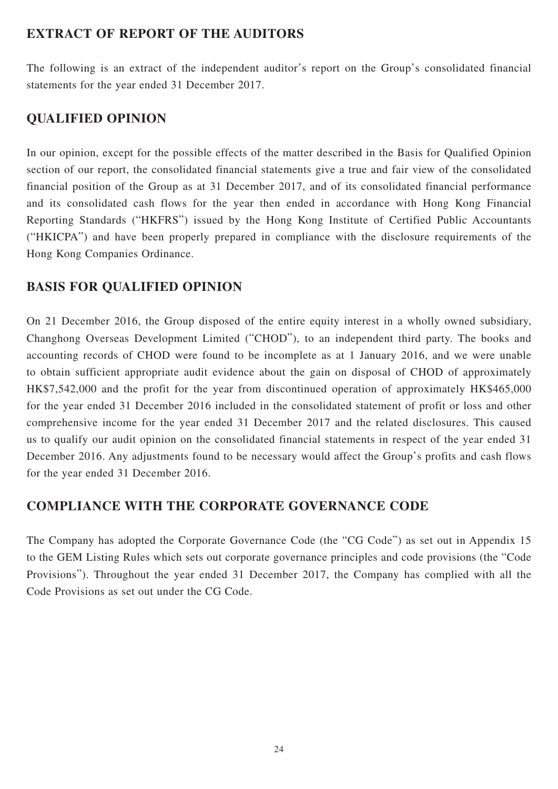## **EXTRACT OF REPORT OF THE AUDITORS**

The following is an extract of the independent auditor's report on the Group's consolidated financial statements for the year ended 31 December 2017.

# **QUALIFIED OPINION**

In our opinion, except for the possible effects of the matter described in the Basis for Qualified Opinion section of our report, the consolidated financial statements give a true and fair view of the consolidated financial position of the Group as at 31 December 2017, and of its consolidated financial performance and its consolidated cash flows for the year then ended in accordance with Hong Kong Financial Reporting Standards ("HKFRS") issued by the Hong Kong Institute of Certified Public Accountants ("HKICPA") and have been properly prepared in compliance with the disclosure requirements of the Hong Kong Companies Ordinance.

## **BASIS FOR QUALIFIED OPINION**

On 21 December 2016, the Group disposed of the entire equity interest in a wholly owned subsidiary, Changhong Overseas Development Limited ("CHOD"), to an independent third party. The books and accounting records of CHOD were found to be incomplete as at 1 January 2016, and we were unable to obtain sufficient appropriate audit evidence about the gain on disposal of CHOD of approximately HK\$7,542,000 and the profit for the year from discontinued operation of approximately HK\$465,000 for the year ended 31 December 2016 included in the consolidated statement of profit or loss and other comprehensive income for the year ended 31 December 2017 and the related disclosures. This caused us to qualify our audit opinion on the consolidated financial statements in respect of the year ended 31 December 2016. Any adjustments found to be necessary would affect the Group's profits and cash flows for the year ended 31 December 2016.

## **COMPLIANCE WITH THE CORPORATE GOVERNANCE CODE**

The Company has adopted the Corporate Governance Code (the "CG Code") as set out in Appendix 15 to the GEM Listing Rules which sets out corporate governance principles and code provisions (the "Code Provisions"). Throughout the year ended 31 December 2017, the Company has complied with all the Code Provisions as set out under the CG Code.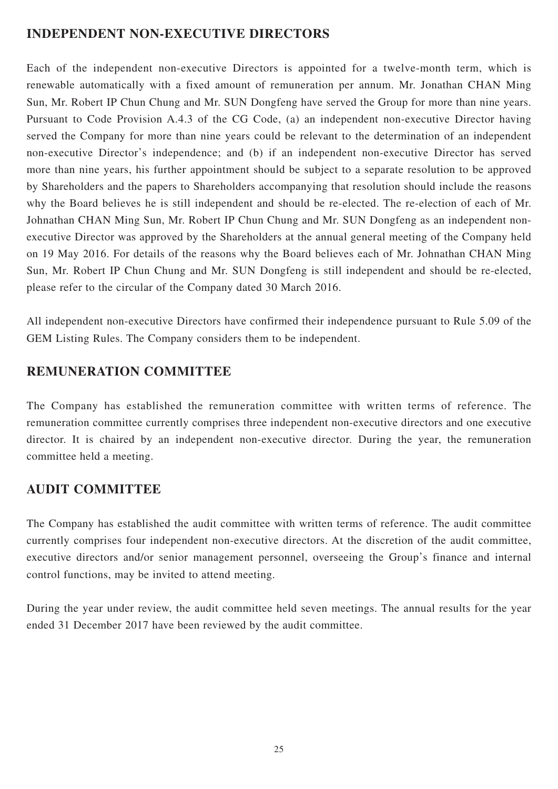## **INDEPENDENT NON-EXECUTIVE DIRECTORS**

Each of the independent non-executive Directors is appointed for a twelve-month term, which is renewable automatically with a fixed amount of remuneration per annum. Mr. Jonathan CHAN Ming Sun, Mr. Robert IP Chun Chung and Mr. SUN Dongfeng have served the Group for more than nine years. Pursuant to Code Provision A.4.3 of the CG Code, (a) an independent non-executive Director having served the Company for more than nine years could be relevant to the determination of an independent non-executive Director's independence; and (b) if an independent non-executive Director has served more than nine years, his further appointment should be subject to a separate resolution to be approved by Shareholders and the papers to Shareholders accompanying that resolution should include the reasons why the Board believes he is still independent and should be re-elected. The re-election of each of Mr. Johnathan CHAN Ming Sun, Mr. Robert IP Chun Chung and Mr. SUN Dongfeng as an independent nonexecutive Director was approved by the Shareholders at the annual general meeting of the Company held on 19 May 2016. For details of the reasons why the Board believes each of Mr. Johnathan CHAN Ming Sun, Mr. Robert IP Chun Chung and Mr. SUN Dongfeng is still independent and should be re-elected, please refer to the circular of the Company dated 30 March 2016.

All independent non-executive Directors have confirmed their independence pursuant to Rule 5.09 of the GEM Listing Rules. The Company considers them to be independent.

## **REMUNERATION COMMITTEE**

The Company has established the remuneration committee with written terms of reference. The remuneration committee currently comprises three independent non-executive directors and one executive director. It is chaired by an independent non-executive director. During the year, the remuneration committee held a meeting.

## **AUDIT COMMITTEE**

The Company has established the audit committee with written terms of reference. The audit committee currently comprises four independent non-executive directors. At the discretion of the audit committee, executive directors and/or senior management personnel, overseeing the Group's finance and internal control functions, may be invited to attend meeting.

During the year under review, the audit committee held seven meetings. The annual results for the year ended 31 December 2017 have been reviewed by the audit committee.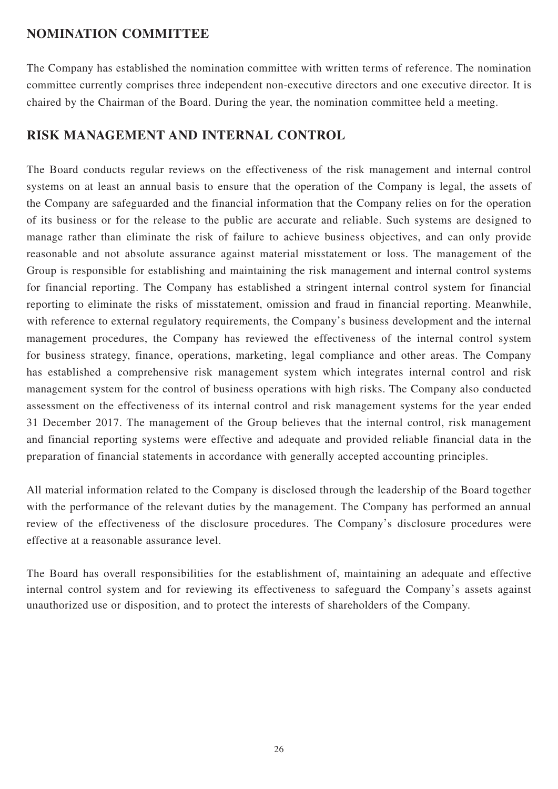### **NOMINATION COMMITTEE**

The Company has established the nomination committee with written terms of reference. The nomination committee currently comprises three independent non-executive directors and one executive director. It is chaired by the Chairman of the Board. During the year, the nomination committee held a meeting.

## **RISK MANAGEMENT AND INTERNAL CONTROL**

The Board conducts regular reviews on the effectiveness of the risk management and internal control systems on at least an annual basis to ensure that the operation of the Company is legal, the assets of the Company are safeguarded and the financial information that the Company relies on for the operation of its business or for the release to the public are accurate and reliable. Such systems are designed to manage rather than eliminate the risk of failure to achieve business objectives, and can only provide reasonable and not absolute assurance against material misstatement or loss. The management of the Group is responsible for establishing and maintaining the risk management and internal control systems for financial reporting. The Company has established a stringent internal control system for financial reporting to eliminate the risks of misstatement, omission and fraud in financial reporting. Meanwhile, with reference to external regulatory requirements, the Company's business development and the internal management procedures, the Company has reviewed the effectiveness of the internal control system for business strategy, finance, operations, marketing, legal compliance and other areas. The Company has established a comprehensive risk management system which integrates internal control and risk management system for the control of business operations with high risks. The Company also conducted assessment on the effectiveness of its internal control and risk management systems for the year ended 31 December 2017. The management of the Group believes that the internal control, risk management and financial reporting systems were effective and adequate and provided reliable financial data in the preparation of financial statements in accordance with generally accepted accounting principles.

All material information related to the Company is disclosed through the leadership of the Board together with the performance of the relevant duties by the management. The Company has performed an annual review of the effectiveness of the disclosure procedures. The Company's disclosure procedures were effective at a reasonable assurance level.

The Board has overall responsibilities for the establishment of, maintaining an adequate and effective internal control system and for reviewing its effectiveness to safeguard the Company's assets against unauthorized use or disposition, and to protect the interests of shareholders of the Company.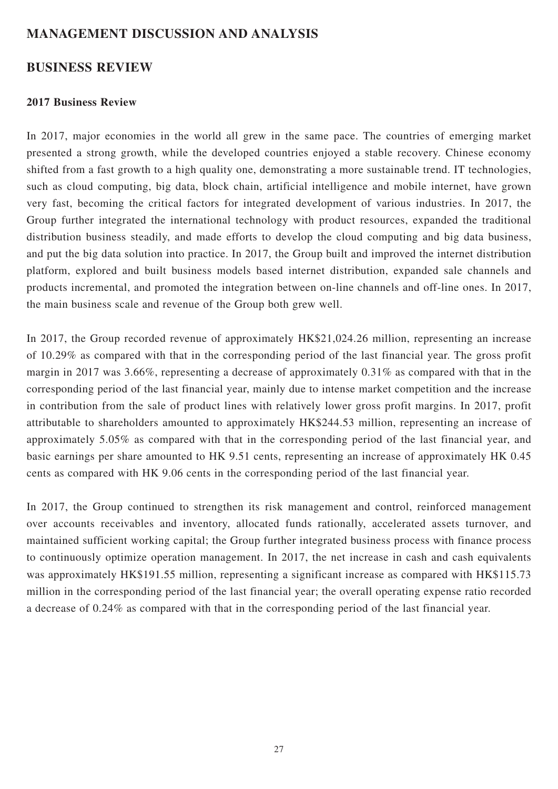## **MANAGEMENT DISCUSSION AND ANALYSIS**

### **BUSINESS REVIEW**

### **2017 Business Review**

In 2017, major economies in the world all grew in the same pace. The countries of emerging market presented a strong growth, while the developed countries enjoyed a stable recovery. Chinese economy shifted from a fast growth to a high quality one, demonstrating a more sustainable trend. IT technologies, such as cloud computing, big data, block chain, artificial intelligence and mobile internet, have grown very fast, becoming the critical factors for integrated development of various industries. In 2017, the Group further integrated the international technology with product resources, expanded the traditional distribution business steadily, and made efforts to develop the cloud computing and big data business, and put the big data solution into practice. In 2017, the Group built and improved the internet distribution platform, explored and built business models based internet distribution, expanded sale channels and products incremental, and promoted the integration between on-line channels and off-line ones. In 2017, the main business scale and revenue of the Group both grew well.

In 2017, the Group recorded revenue of approximately HK\$21,024.26 million, representing an increase of 10.29% as compared with that in the corresponding period of the last financial year. The gross profit margin in 2017 was 3.66%, representing a decrease of approximately 0.31% as compared with that in the corresponding period of the last financial year, mainly due to intense market competition and the increase in contribution from the sale of product lines with relatively lower gross profit margins. In 2017, profit attributable to shareholders amounted to approximately HK\$244.53 million, representing an increase of approximately 5.05% as compared with that in the corresponding period of the last financial year, and basic earnings per share amounted to HK 9.51 cents, representing an increase of approximately HK 0.45 cents as compared with HK 9.06 cents in the corresponding period of the last financial year.

In 2017, the Group continued to strengthen its risk management and control, reinforced management over accounts receivables and inventory, allocated funds rationally, accelerated assets turnover, and maintained sufficient working capital; the Group further integrated business process with finance process to continuously optimize operation management. In 2017, the net increase in cash and cash equivalents was approximately HK\$191.55 million, representing a significant increase as compared with HK\$115.73 million in the corresponding period of the last financial year; the overall operating expense ratio recorded a decrease of 0.24% as compared with that in the corresponding period of the last financial year.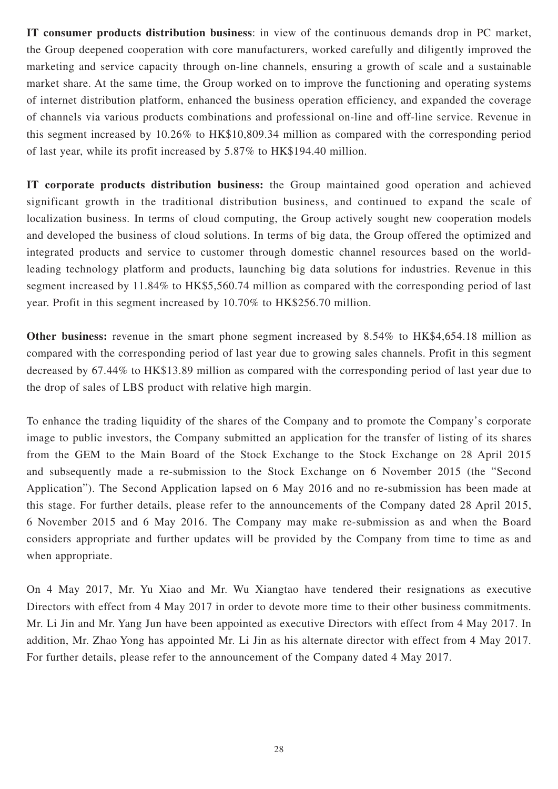**IT consumer products distribution business**: in view of the continuous demands drop in PC market, the Group deepened cooperation with core manufacturers, worked carefully and diligently improved the marketing and service capacity through on-line channels, ensuring a growth of scale and a sustainable market share. At the same time, the Group worked on to improve the functioning and operating systems of internet distribution platform, enhanced the business operation efficiency, and expanded the coverage of channels via various products combinations and professional on-line and off-line service. Revenue in this segment increased by 10.26% to HK\$10,809.34 million as compared with the corresponding period of last year, while its profit increased by 5.87% to HK\$194.40 million.

**IT corporate products distribution business:** the Group maintained good operation and achieved significant growth in the traditional distribution business, and continued to expand the scale of localization business. In terms of cloud computing, the Group actively sought new cooperation models and developed the business of cloud solutions. In terms of big data, the Group offered the optimized and integrated products and service to customer through domestic channel resources based on the worldleading technology platform and products, launching big data solutions for industries. Revenue in this segment increased by 11.84% to HK\$5,560.74 million as compared with the corresponding period of last year. Profit in this segment increased by 10.70% to HK\$256.70 million.

**Other business:** revenue in the smart phone segment increased by 8.54% to HK\$4,654.18 million as compared with the corresponding period of last year due to growing sales channels. Profit in this segment decreased by 67.44% to HK\$13.89 million as compared with the corresponding period of last year due to the drop of sales of LBS product with relative high margin.

To enhance the trading liquidity of the shares of the Company and to promote the Company's corporate image to public investors, the Company submitted an application for the transfer of listing of its shares from the GEM to the Main Board of the Stock Exchange to the Stock Exchange on 28 April 2015 and subsequently made a re-submission to the Stock Exchange on 6 November 2015 (the "Second Application"). The Second Application lapsed on 6 May 2016 and no re-submission has been made at this stage. For further details, please refer to the announcements of the Company dated 28 April 2015, 6 November 2015 and 6 May 2016. The Company may make re-submission as and when the Board considers appropriate and further updates will be provided by the Company from time to time as and when appropriate.

On 4 May 2017, Mr. Yu Xiao and Mr. Wu Xiangtao have tendered their resignations as executive Directors with effect from 4 May 2017 in order to devote more time to their other business commitments. Mr. Li Jin and Mr. Yang Jun have been appointed as executive Directors with effect from 4 May 2017. In addition, Mr. Zhao Yong has appointed Mr. Li Jin as his alternate director with effect from 4 May 2017. For further details, please refer to the announcement of the Company dated 4 May 2017.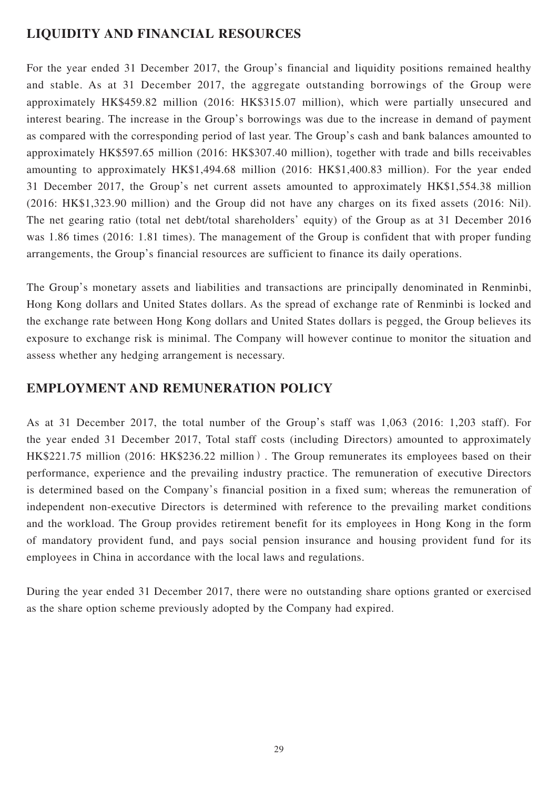## **LIQUIDITY AND FINANCIAL RESOURCES**

For the year ended 31 December 2017, the Group's financial and liquidity positions remained healthy and stable. As at 31 December 2017, the aggregate outstanding borrowings of the Group were approximately HK\$459.82 million (2016: HK\$315.07 million), which were partially unsecured and interest bearing. The increase in the Group's borrowings was due to the increase in demand of payment as compared with the corresponding period of last year. The Group's cash and bank balances amounted to approximately HK\$597.65 million (2016: HK\$307.40 million), together with trade and bills receivables amounting to approximately HK\$1,494.68 million (2016: HK\$1,400.83 million). For the year ended 31 December 2017, the Group's net current assets amounted to approximately HK\$1,554.38 million (2016: HK\$1,323.90 million) and the Group did not have any charges on its fixed assets (2016: Nil). The net gearing ratio (total net debt/total shareholders' equity) of the Group as at 31 December 2016 was 1.86 times (2016: 1.81 times). The management of the Group is confident that with proper funding arrangements, the Group's financial resources are sufficient to finance its daily operations.

The Group's monetary assets and liabilities and transactions are principally denominated in Renminbi, Hong Kong dollars and United States dollars. As the spread of exchange rate of Renminbi is locked and the exchange rate between Hong Kong dollars and United States dollars is pegged, the Group believes its exposure to exchange risk is minimal. The Company will however continue to monitor the situation and assess whether any hedging arrangement is necessary.

## **EMPLOYMENT AND REMUNERATION POLICY**

As at 31 December 2017, the total number of the Group's staff was 1,063 (2016: 1,203 staff). For the year ended 31 December 2017, Total staff costs (including Directors) amounted to approximately HK\$221.75 million (2016: HK\$236.22 million). The Group remunerates its employees based on their performance, experience and the prevailing industry practice. The remuneration of executive Directors is determined based on the Company's financial position in a fixed sum; whereas the remuneration of independent non-executive Directors is determined with reference to the prevailing market conditions and the workload. The Group provides retirement benefit for its employees in Hong Kong in the form of mandatory provident fund, and pays social pension insurance and housing provident fund for its employees in China in accordance with the local laws and regulations.

During the year ended 31 December 2017, there were no outstanding share options granted or exercised as the share option scheme previously adopted by the Company had expired.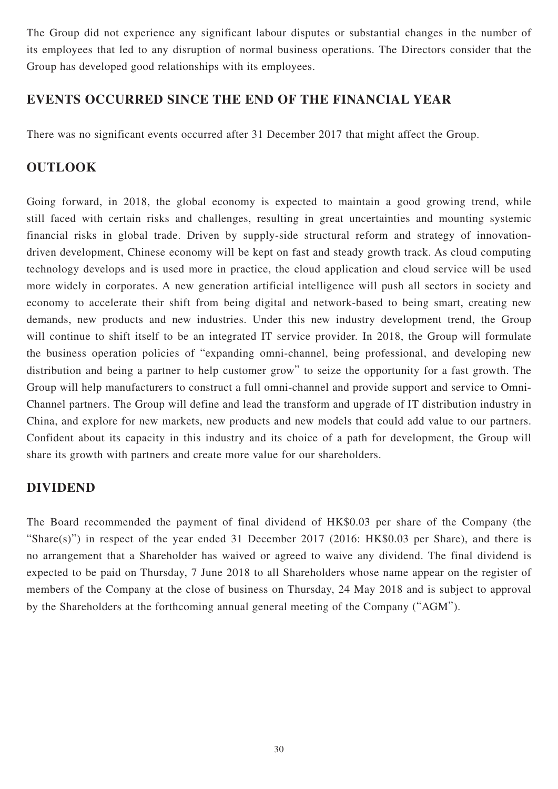The Group did not experience any significant labour disputes or substantial changes in the number of its employees that led to any disruption of normal business operations. The Directors consider that the Group has developed good relationships with its employees.

## **EVENTS OCCURRED SINCE THE END OF THE FINANCIAL YEAR**

There was no significant events occurred after 31 December 2017 that might affect the Group.

### **OUTLOOK**

Going forward, in 2018, the global economy is expected to maintain a good growing trend, while still faced with certain risks and challenges, resulting in great uncertainties and mounting systemic financial risks in global trade. Driven by supply-side structural reform and strategy of innovationdriven development, Chinese economy will be kept on fast and steady growth track. As cloud computing technology develops and is used more in practice, the cloud application and cloud service will be used more widely in corporates. A new generation artificial intelligence will push all sectors in society and economy to accelerate their shift from being digital and network-based to being smart, creating new demands, new products and new industries. Under this new industry development trend, the Group will continue to shift itself to be an integrated IT service provider. In 2018, the Group will formulate the business operation policies of "expanding omni-channel, being professional, and developing new distribution and being a partner to help customer grow" to seize the opportunity for a fast growth. The Group will help manufacturers to construct a full omni-channel and provide support and service to Omni-Channel partners. The Group will define and lead the transform and upgrade of IT distribution industry in China, and explore for new markets, new products and new models that could add value to our partners. Confident about its capacity in this industry and its choice of a path for development, the Group will share its growth with partners and create more value for our shareholders.

### **DIVIDEND**

The Board recommended the payment of final dividend of HK\$0.03 per share of the Company (the "Share(s)") in respect of the year ended 31 December 2017 (2016: HK\$0.03 per Share), and there is no arrangement that a Shareholder has waived or agreed to waive any dividend. The final dividend is expected to be paid on Thursday, 7 June 2018 to all Shareholders whose name appear on the register of members of the Company at the close of business on Thursday, 24 May 2018 and is subject to approval by the Shareholders at the forthcoming annual general meeting of the Company ("AGM").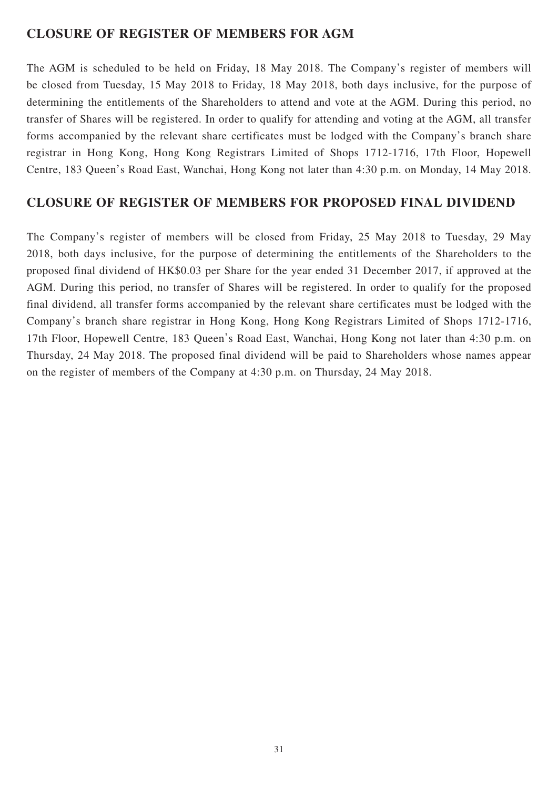## **CLOSURE OF REGISTER OF MEMBERS FOR AGM**

The AGM is scheduled to be held on Friday, 18 May 2018. The Company's register of members will be closed from Tuesday, 15 May 2018 to Friday, 18 May 2018, both days inclusive, for the purpose of determining the entitlements of the Shareholders to attend and vote at the AGM. During this period, no transfer of Shares will be registered. In order to qualify for attending and voting at the AGM, all transfer forms accompanied by the relevant share certificates must be lodged with the Company's branch share registrar in Hong Kong, Hong Kong Registrars Limited of Shops 1712-1716, 17th Floor, Hopewell Centre, 183 Queen's Road East, Wanchai, Hong Kong not later than 4:30 p.m. on Monday, 14 May 2018.

## **CLOSURE OF REGISTER OF MEMBERS FOR PROPOSED FINAL DIVIDEND**

The Company's register of members will be closed from Friday, 25 May 2018 to Tuesday, 29 May 2018, both days inclusive, for the purpose of determining the entitlements of the Shareholders to the proposed final dividend of HK\$0.03 per Share for the year ended 31 December 2017, if approved at the AGM. During this period, no transfer of Shares will be registered. In order to qualify for the proposed final dividend, all transfer forms accompanied by the relevant share certificates must be lodged with the Company's branch share registrar in Hong Kong, Hong Kong Registrars Limited of Shops 1712-1716, 17th Floor, Hopewell Centre, 183 Queen's Road East, Wanchai, Hong Kong not later than 4:30 p.m. on Thursday, 24 May 2018. The proposed final dividend will be paid to Shareholders whose names appear on the register of members of the Company at 4:30 p.m. on Thursday, 24 May 2018.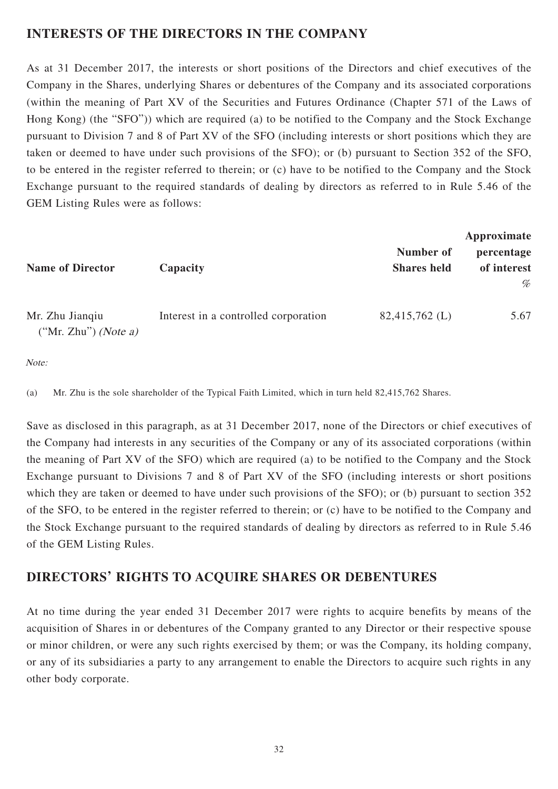## **INTERESTS OF THE DIRECTORS IN THE COMPANY**

As at 31 December 2017, the interests or short positions of the Directors and chief executives of the Company in the Shares, underlying Shares or debentures of the Company and its associated corporations (within the meaning of Part XV of the Securities and Futures Ordinance (Chapter 571 of the Laws of Hong Kong) (the "SFO")) which are required (a) to be notified to the Company and the Stock Exchange pursuant to Division 7 and 8 of Part XV of the SFO (including interests or short positions which they are taken or deemed to have under such provisions of the SFO); or (b) pursuant to Section 352 of the SFO, to be entered in the register referred to therein; or (c) have to be notified to the Company and the Stock Exchange pursuant to the required standards of dealing by directors as referred to in Rule 5.46 of the GEM Listing Rules were as follows:

| <b>Name of Director</b>                   | Capacity                             | Number of<br><b>Shares held</b> | Approximate<br>percentage<br>of interest<br>% |
|-------------------------------------------|--------------------------------------|---------------------------------|-----------------------------------------------|
| Mr. Zhu Jianqiu<br>$("Mr. Zhu")$ (Note a) | Interest in a controlled corporation | $82,415,762 \; (L)$             | 5.67                                          |

Note:

(a) Mr. Zhu is the sole shareholder of the Typical Faith Limited, which in turn held 82,415,762 Shares.

Save as disclosed in this paragraph, as at 31 December 2017, none of the Directors or chief executives of the Company had interests in any securities of the Company or any of its associated corporations (within the meaning of Part XV of the SFO) which are required (a) to be notified to the Company and the Stock Exchange pursuant to Divisions 7 and 8 of Part XV of the SFO (including interests or short positions which they are taken or deemed to have under such provisions of the SFO); or (b) pursuant to section 352 of the SFO, to be entered in the register referred to therein; or (c) have to be notified to the Company and the Stock Exchange pursuant to the required standards of dealing by directors as referred to in Rule 5.46 of the GEM Listing Rules.

## **DIRECTORS' RIGHTS TO ACQUIRE SHARES OR DEBENTURES**

At no time during the year ended 31 December 2017 were rights to acquire benefits by means of the acquisition of Shares in or debentures of the Company granted to any Director or their respective spouse or minor children, or were any such rights exercised by them; or was the Company, its holding company, or any of its subsidiaries a party to any arrangement to enable the Directors to acquire such rights in any other body corporate.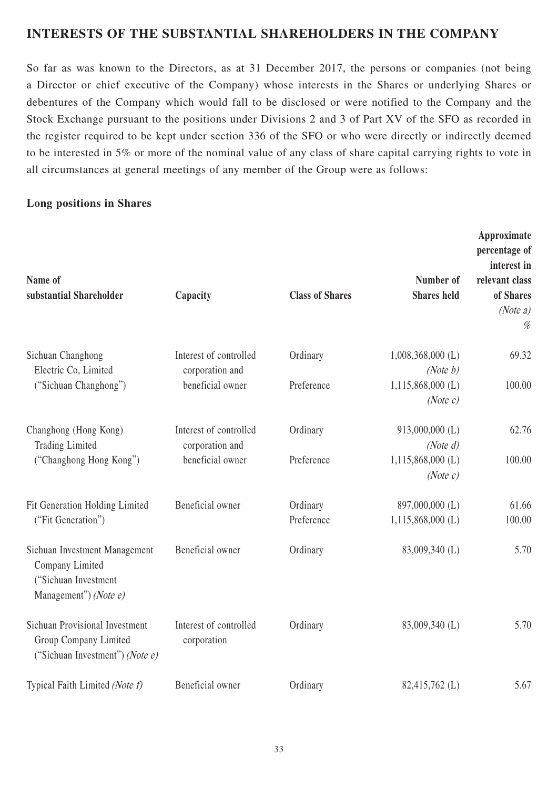## **INTERESTS OF THE SUBSTANTIAL SHAREHOLDERS IN THE COMPANY**

So far as was known to the Directors, as at 31 December 2017, the persons or companies (not being a Director or chief executive of the Company) whose interests in the Shares or underlying Shares or debentures of the Company which would fall to be disclosed or were notified to the Company and the Stock Exchange pursuant to the positions under Divisions 2 and 3 of Part XV of the SFO as recorded in the register required to be kept under section 336 of the SFO or who were directly or indirectly deemed to be interested in 5% or more of the nominal value of any class of share capital carrying rights to vote in all circumstances at general meetings of any member of the Group were as follows:

### **Long positions in Shares**

| Name of<br>substantial Shareholder                                                                   | Capacity                                  | <b>Class of Shares</b> | Number of<br><b>Shares</b> held        | Approximate<br>percentage of<br>interest in<br>relevant class<br>of Shares<br>(Note $a$ )<br>% |
|------------------------------------------------------------------------------------------------------|-------------------------------------------|------------------------|----------------------------------------|------------------------------------------------------------------------------------------------|
| Sichuan Changhong<br>Electric Co, Limited                                                            | Interest of controlled<br>corporation and | Ordinary               | $1,008,368,000$ (L)<br>(Note b)        | 69.32                                                                                          |
| ("Sichuan Changhong")                                                                                | beneficial owner                          | Preference             | $1,115,868,000$ (L)<br>(Note c)        | 100.00                                                                                         |
| Changhong (Hong Kong)<br><b>Trading Limited</b>                                                      | Interest of controlled<br>corporation and | Ordinary               | 913,000,000 (L)<br>(Note d)            | 62.76                                                                                          |
| ("Changhong Hong Kong")                                                                              | beneficial owner                          | Preference             | $1,115,868,000$ (L)<br>(Note c)        | 100.00                                                                                         |
| Fit Generation Holding Limited<br>("Fit Generation")                                                 | Beneficial owner                          | Ordinary<br>Preference | 897,000,000 (L)<br>$1,115,868,000$ (L) | 61.66<br>100.00                                                                                |
| Sichuan Investment Management<br>Company Limited<br>("Sichuan Investment<br>Management") (Note $e$ ) | Beneficial owner                          | Ordinary               | 83,009,340 (L)                         | 5.70                                                                                           |
| <b>Sichuan Provisional Investment</b><br>Group Company Limited<br>("Sichuan Investment") (Note $e$ ) | Interest of controlled<br>corporation     | Ordinary               | 83,009,340 (L)                         | 5.70                                                                                           |
| Typical Faith Limited (Note f)                                                                       | Beneficial owner                          | Ordinary               | 82,415,762 (L)                         | 5.67                                                                                           |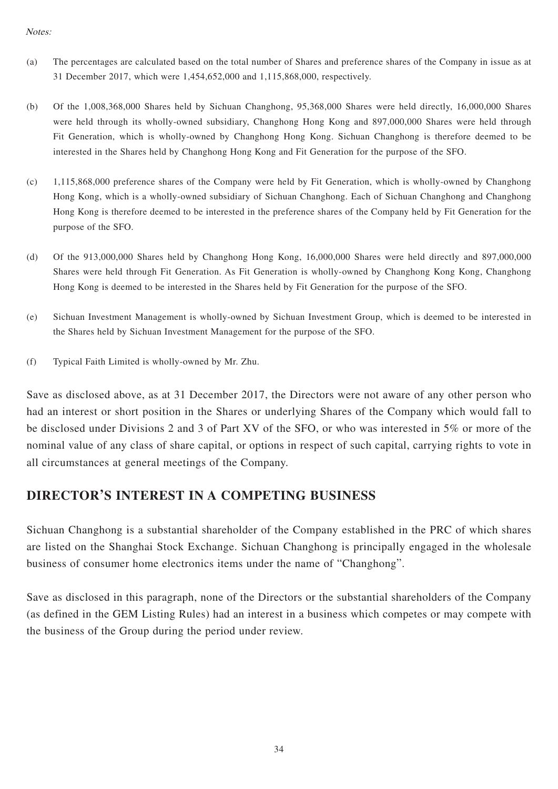#### Notes:

- (a) The percentages are calculated based on the total number of Shares and preference shares of the Company in issue as at 31 December 2017, which were 1,454,652,000 and 1,115,868,000, respectively.
- (b) Of the 1,008,368,000 Shares held by Sichuan Changhong, 95,368,000 Shares were held directly, 16,000,000 Shares were held through its wholly-owned subsidiary, Changhong Hong Kong and 897,000,000 Shares were held through Fit Generation, which is wholly-owned by Changhong Hong Kong. Sichuan Changhong is therefore deemed to be interested in the Shares held by Changhong Hong Kong and Fit Generation for the purpose of the SFO.
- (c) 1,115,868,000 preference shares of the Company were held by Fit Generation, which is wholly-owned by Changhong Hong Kong, which is a wholly-owned subsidiary of Sichuan Changhong. Each of Sichuan Changhong and Changhong Hong Kong is therefore deemed to be interested in the preference shares of the Company held by Fit Generation for the purpose of the SFO.
- (d) Of the 913,000,000 Shares held by Changhong Hong Kong, 16,000,000 Shares were held directly and 897,000,000 Shares were held through Fit Generation. As Fit Generation is wholly-owned by Changhong Kong Kong, Changhong Hong Kong is deemed to be interested in the Shares held by Fit Generation for the purpose of the SFO.
- (e) Sichuan Investment Management is wholly-owned by Sichuan Investment Group, which is deemed to be interested in the Shares held by Sichuan Investment Management for the purpose of the SFO.
- (f) Typical Faith Limited is wholly-owned by Mr. Zhu.

Save as disclosed above, as at 31 December 2017, the Directors were not aware of any other person who had an interest or short position in the Shares or underlying Shares of the Company which would fall to be disclosed under Divisions 2 and 3 of Part XV of the SFO, or who was interested in 5% or more of the nominal value of any class of share capital, or options in respect of such capital, carrying rights to vote in all circumstances at general meetings of the Company.

## **DIRECTOR'S INTEREST IN A COMPETING BUSINESS**

Sichuan Changhong is a substantial shareholder of the Company established in the PRC of which shares are listed on the Shanghai Stock Exchange. Sichuan Changhong is principally engaged in the wholesale business of consumer home electronics items under the name of "Changhong".

Save as disclosed in this paragraph, none of the Directors or the substantial shareholders of the Company (as defined in the GEM Listing Rules) had an interest in a business which competes or may compete with the business of the Group during the period under review.